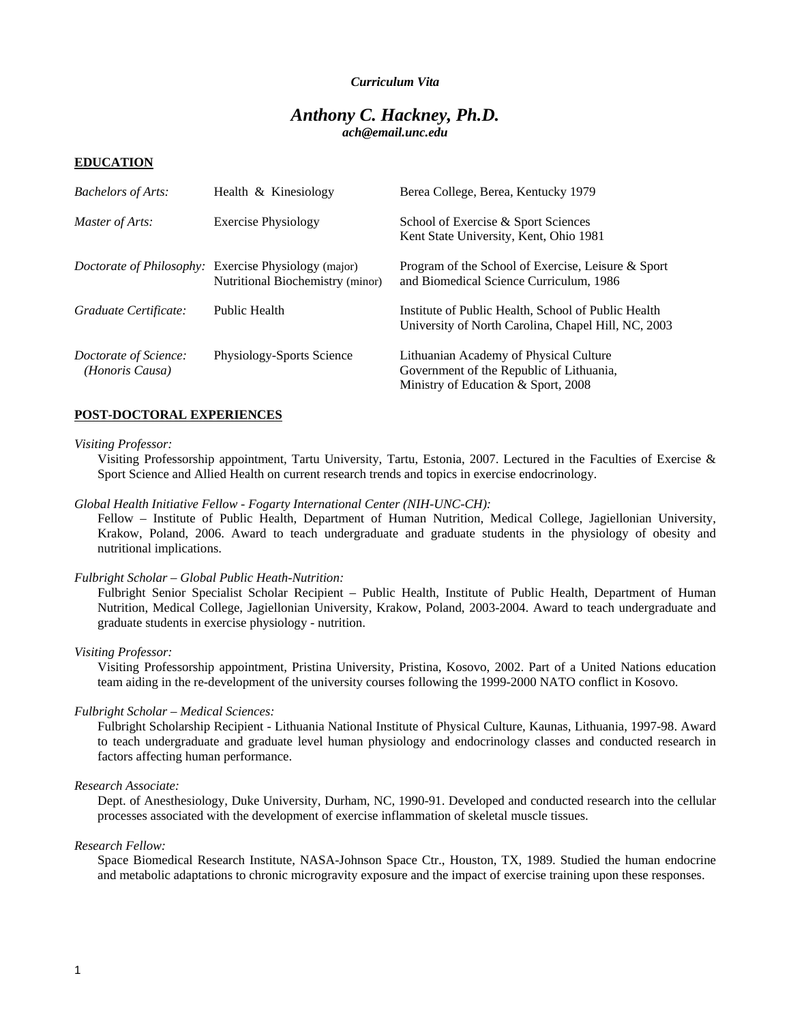### *Curriculum Vita*

# *Anthony C. Hackney, Ph.D. ach@email.unc.edu*

#### **EDUCATION**

| <b>Bachelors of Arts:</b>                | Health & Kinesiology                                                                     | Berea College, Berea, Kentucky 1979                                                                                       |
|------------------------------------------|------------------------------------------------------------------------------------------|---------------------------------------------------------------------------------------------------------------------------|
| Master of Arts:                          | <b>Exercise Physiology</b>                                                               | School of Exercise & Sport Sciences<br>Kent State University, Kent, Ohio 1981                                             |
|                                          | Doctorate of Philosophy: Exercise Physiology (major)<br>Nutritional Biochemistry (minor) | Program of the School of Exercise, Leisure & Sport<br>and Biomedical Science Curriculum, 1986                             |
| Graduate Certificate:                    | Public Health                                                                            | Institute of Public Health, School of Public Health<br>University of North Carolina, Chapel Hill, NC, 2003                |
| Doctorate of Science:<br>(Honoris Causa) | Physiology-Sports Science                                                                | Lithuanian Academy of Physical Culture<br>Government of the Republic of Lithuania,<br>Ministry of Education & Sport, 2008 |

### **POST-DOCTORAL EXPERIENCES**

#### *Visiting Professor:*

 Visiting Professorship appointment, Tartu University, Tartu, Estonia, 2007. Lectured in the Faculties of Exercise & Sport Science and Allied Health on current research trends and topics in exercise endocrinology.

### *Global Health Initiative Fellow - Fogarty International Center (NIH-UNC-CH):*

 Fellow – Institute of Public Health, Department of Human Nutrition, Medical College, Jagiellonian University, Krakow, Poland, 2006. Award to teach undergraduate and graduate students in the physiology of obesity and nutritional implications.

#### *Fulbright Scholar – Global Public Heath-Nutrition:*

Fulbright Senior Specialist Scholar Recipient – Public Health, Institute of Public Health, Department of Human Nutrition, Medical College, Jagiellonian University, Krakow, Poland, 2003-2004. Award to teach undergraduate and graduate students in exercise physiology - nutrition.

#### *Visiting Professor:*

 Visiting Professorship appointment, Pristina University, Pristina, Kosovo, 2002. Part of a United Nations education team aiding in the re-development of the university courses following the 1999-2000 NATO conflict in Kosovo.

#### *Fulbright Scholar – Medical Sciences:*

Fulbright Scholarship Recipient - Lithuania National Institute of Physical Culture, Kaunas, Lithuania, 1997-98. Award to teach undergraduate and graduate level human physiology and endocrinology classes and conducted research in factors affecting human performance.

#### *Research Associate:*

Dept. of Anesthesiology, Duke University, Durham, NC, 1990-91. Developed and conducted research into the cellular processes associated with the development of exercise inflammation of skeletal muscle tissues.

#### *Research Fellow:*

Space Biomedical Research Institute, NASA-Johnson Space Ctr., Houston, TX, 1989. Studied the human endocrine and metabolic adaptations to chronic microgravity exposure and the impact of exercise training upon these responses.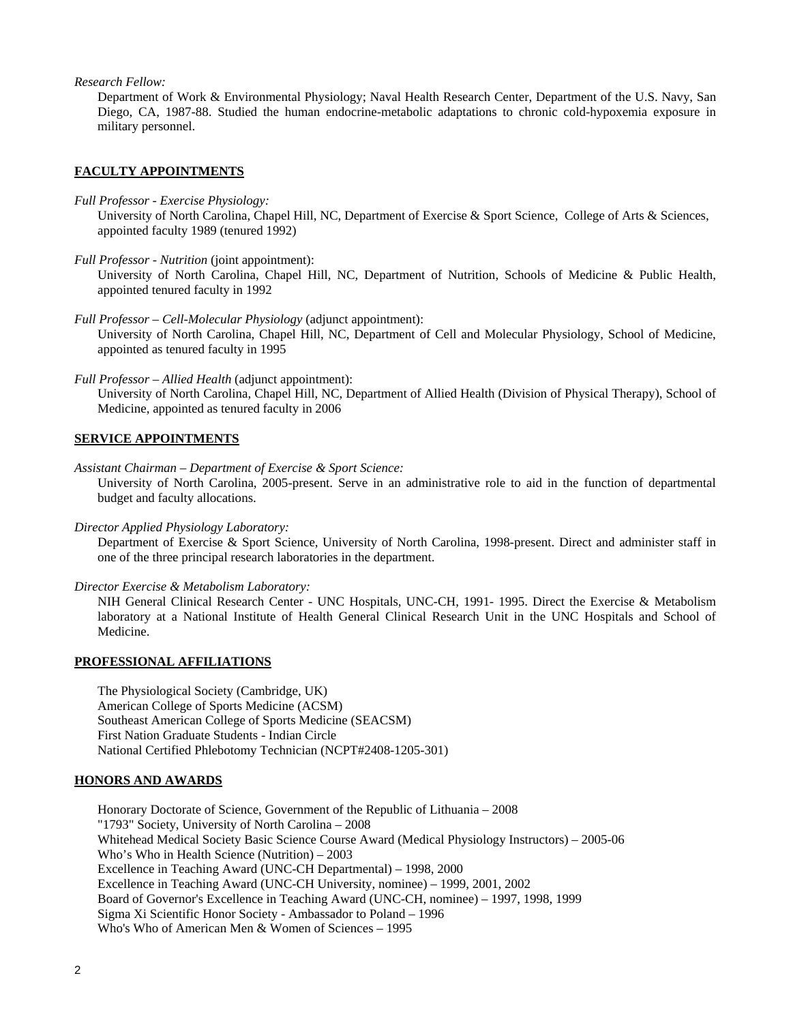*Research Fellow:* 

Department of Work & Environmental Physiology; Naval Health Research Center, Department of the U.S. Navy, San Diego, CA, 1987-88. Studied the human endocrine-metabolic adaptations to chronic cold-hypoxemia exposure in military personnel.

## **FACULTY APPOINTMENTS**

*Full Professor - Exercise Physiology:* 

University of North Carolina, Chapel Hill, NC, Department of Exercise & Sport Science, College of Arts & Sciences, appointed faculty 1989 (tenured 1992)

*Full Professor - Nutrition* (joint appointment):

University of North Carolina, Chapel Hill, NC, Department of Nutrition, Schools of Medicine & Public Health, appointed tenured faculty in 1992

- *Full Professor Cell-Molecular Physiology* (adjunct appointment): University of North Carolina, Chapel Hill, NC, Department of Cell and Molecular Physiology, School of Medicine, appointed as tenured faculty in 1995
- *Full Professor Allied Health* (adjunct appointment):

University of North Carolina, Chapel Hill, NC, Department of Allied Health (Division of Physical Therapy), School of Medicine, appointed as tenured faculty in 2006

### **SERVICE APPOINTMENTS**

*Assistant Chairman – Department of Exercise & Sport Science:* 

University of North Carolina, 2005-present. Serve in an administrative role to aid in the function of departmental budget and faculty allocations.

*Director Applied Physiology Laboratory:* 

Department of Exercise & Sport Science, University of North Carolina, 1998-present. Direct and administer staff in one of the three principal research laboratories in the department.

*Director Exercise & Metabolism Laboratory:* 

NIH General Clinical Research Center - UNC Hospitals, UNC-CH, 1991- 1995. Direct the Exercise & Metabolism laboratory at a National Institute of Health General Clinical Research Unit in the UNC Hospitals and School of Medicine.

### **PROFESSIONAL AFFILIATIONS**

The Physiological Society (Cambridge, UK) American College of Sports Medicine (ACSM) Southeast American College of Sports Medicine (SEACSM) First Nation Graduate Students - Indian Circle National Certified Phlebotomy Technician (NCPT#2408-1205-301)

### **HONORS AND AWARDS**

Honorary Doctorate of Science, Government of the Republic of Lithuania – 2008 "1793" Society, University of North Carolina – 2008 Whitehead Medical Society Basic Science Course Award (Medical Physiology Instructors) – 2005-06 Who's Who in Health Science (Nutrition) – 2003 Excellence in Teaching Award (UNC-CH Departmental) – 1998, 2000 Excellence in Teaching Award (UNC-CH University, nominee) – 1999, 2001, 2002 Board of Governor's Excellence in Teaching Award (UNC-CH, nominee) – 1997, 1998, 1999 Sigma Xi Scientific Honor Society - Ambassador to Poland – 1996 Who's Who of American Men & Women of Sciences – 1995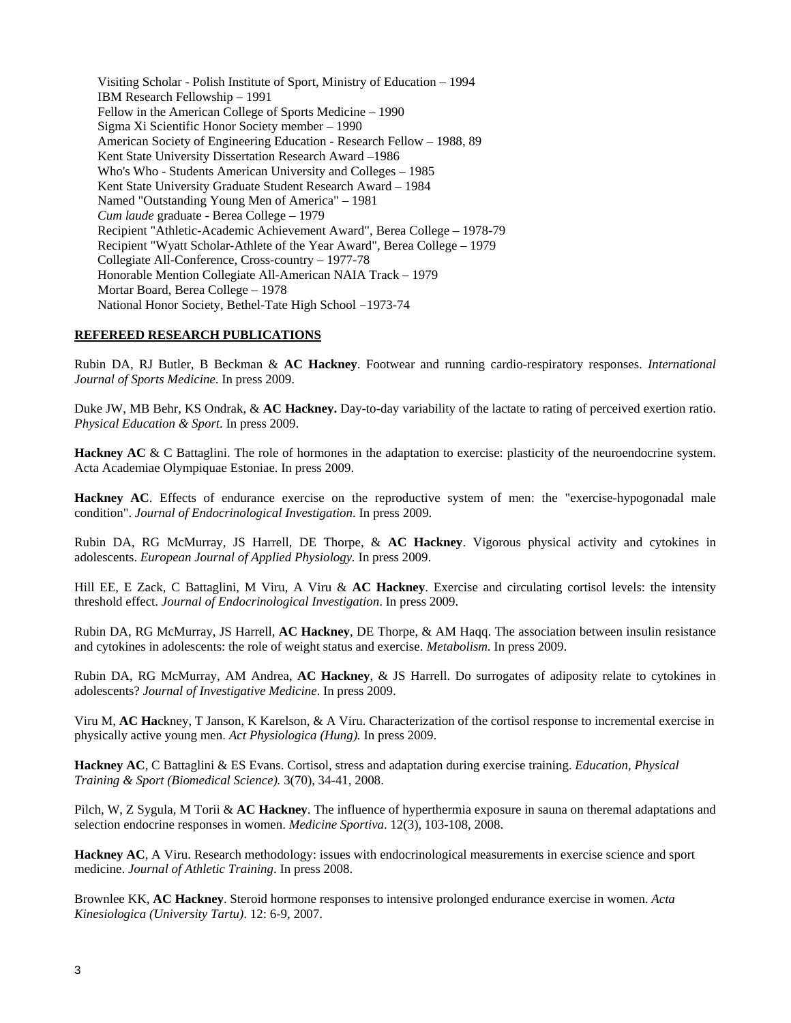Visiting Scholar - Polish Institute of Sport, Ministry of Education – 1994 IBM Research Fellowship – 1991 Fellow in the American College of Sports Medicine – 1990 Sigma Xi Scientific Honor Society member – 1990 American Society of Engineering Education - Research Fellow – 1988, 89 Kent State University Dissertation Research Award –1986 Who's Who - Students American University and Colleges – 1985 Kent State University Graduate Student Research Award – 1984 Named "Outstanding Young Men of America" – 1981 *Cum laude* graduate - Berea College – 1979 Recipient "Athletic-Academic Achievement Award", Berea College – 1978-79 Recipient "Wyatt Scholar-Athlete of the Year Award", Berea College – 1979 Collegiate All-Conference, Cross-country – 1977-78 Honorable Mention Collegiate All-American NAIA Track – 1979 Mortar Board, Berea College – 1978 National Honor Society, Bethel-Tate High School –1973-74

### **REFEREED RESEARCH PUBLICATIONS**

Rubin DA, RJ Butler, B Beckman & **AC Hackney**. Footwear and running cardio-respiratory responses. *International Journal of Sports Medicine*. In press 2009.

Duke JW, MB Behr, KS Ondrak, & **AC Hackney.** Day-to-day variability of the lactate to rating of perceived exertion ratio. *Physical Education & Sport*. In press 2009.

**Hackney AC** & C Battaglini. The role of hormones in the adaptation to exercise: plasticity of the neuroendocrine system. Acta Academiae Olympiquae Estoniae. In press 2009.

**Hackney AC**. Effects of endurance exercise on the reproductive system of men: the "exercise-hypogonadal male condition". *Journal of Endocrinological Investigation*. In press 2009.

Rubin DA, RG McMurray, JS Harrell, DE Thorpe, & **AC Hackney**. Vigorous physical activity and cytokines in adolescents. *European Journal of Applied Physiology.* In press 2009.

Hill EE, E Zack, C Battaglini, M Viru, A Viru & **AC Hackney**. Exercise and circulating cortisol levels: the intensity threshold effect. *Journal of Endocrinological Investigation*. In press 2009.

Rubin DA, RG McMurray, JS Harrell, **AC Hackney**, DE Thorpe, & AM Haqq. The association between insulin resistance and cytokines in adolescents: the role of weight status and exercise. *Metabolism.* In press 2009.

Rubin DA, RG McMurray, AM Andrea, **AC Hackney**, & JS Harrell. Do surrogates of adiposity relate to cytokines in adolescents? *Journal of Investigative Medicine*. In press 2009.

Viru M, **AC Ha**ckney, T Janson, K Karelson, & A Viru. Characterization of the cortisol response to incremental exercise in physically active young men. *Act Physiologica (Hung).* In press 2009.

**Hackney AC**, C Battaglini & ES Evans. Cortisol, stress and adaptation during exercise training. *Education, Physical Training & Sport (Biomedical Science).* 3(70), 34-41, 2008.

Pilch, W, Z Sygula, M Torii & **AC Hackney**. The influence of hyperthermia exposure in sauna on theremal adaptations and selection endocrine responses in women. *Medicine Sportiva*. 12(3), 103-108, 2008.

**Hackney AC**, A Viru. Research methodology: issues with endocrinological measurements in exercise science and sport medicine. *Journal of Athletic Training*. In press 2008.

Brownlee KK, **AC Hackney**. Steroid hormone responses to intensive prolonged endurance exercise in women. *Acta Kinesiologica (University Tartu)*. 12: 6-9, 2007.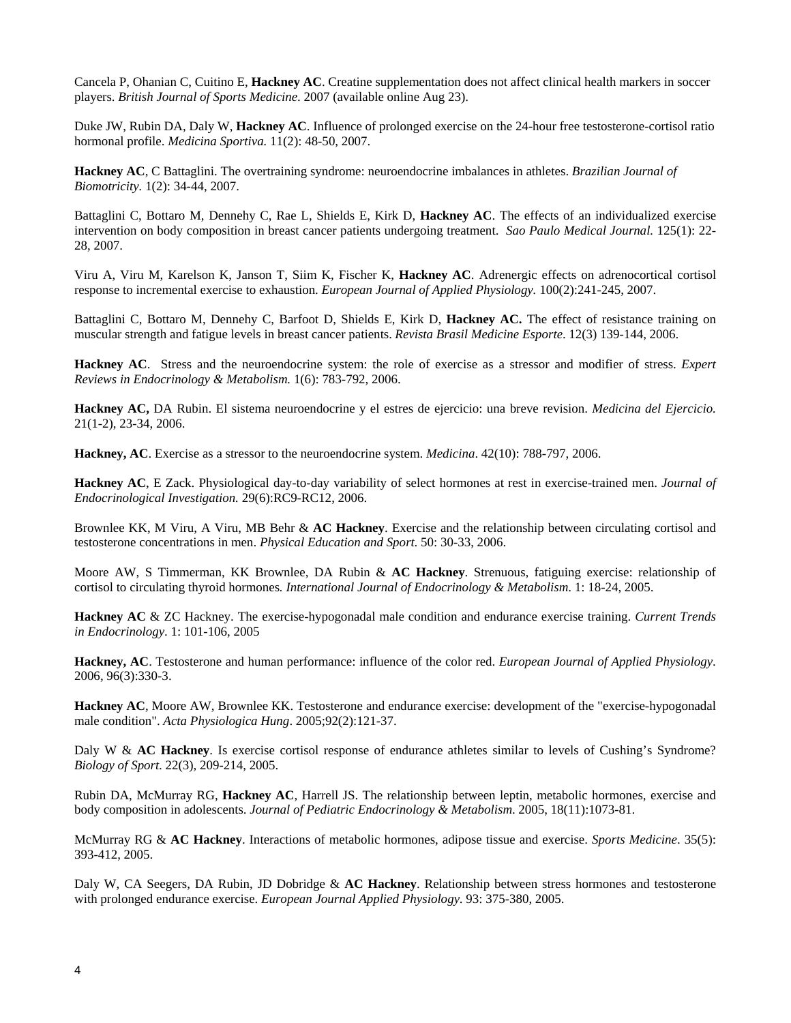[Cancela P, Ohanian C, Cuitino E,](http://www.ncbi.nlm.nih.gov.libproxy.lib.unc.edu/sites/entrez?Db=pubmed&Cmd=ShowDetailView&TermToSearch=17717061&ordinalpos=1&itool=EntrezSystem2.PEntrez.Pubmed.Pubmed_ResultsPanel.Pubmed_RVDocSum) **Hackney AC**. Creatine supplementation does not affect clinical health markers in soccer players. *British Journal of Sports Medicine*. 2007 (available online Aug 23).

Duke JW, Rubin DA, Daly W, **Hackney AC**. Influence of prolonged exercise on the 24-hour free testosterone-cortisol ratio hormonal profile. *Medicina Sportiva.* 11(2): 48-50, 2007.

**Hackney AC**, C Battaglini. The overtraining syndrome: neuroendocrine imbalances in athletes. *Brazilian Journal of Biomotricity.* 1(2): 34-44, 2007.

Battaglini C, Bottaro M, Dennehy C, Rae L, Shields E, Kirk D, **Hackney AC**. The effects of an individualized exercise intervention on body composition in breast cancer patients undergoing treatment. *Sao Paulo Medical Journal.* 125(1): 22- 28, 2007.

[Viru A, Viru M, Karelson K, Janson T, Siim K, Fischer K,](http://www.ncbi.nlm.nih.gov.libproxy.lib.unc.edu/sites/entrez?Db=pubmed&Cmd=ShowDetailView&TermToSearch=17334775&ordinalpos=2&itool=EntrezSystem2.PEntrez.Pubmed.Pubmed_ResultsPanel.Pubmed_RVDocSum) **Hackney AC**. Adrenergic effects on adrenocortical cortisol response to incremental exercise to exhaustion. *European Journal of Applied Physiology.* 100(2):241-245, 2007.

Battaglini C, Bottaro M, Dennehy C, Barfoot D, Shields E, Kirk D, **Hackney AC.** The effect of resistance training on muscular strength and fatigue levels in breast cancer patients. *Revista Brasil Medicine Esporte*. 12(3) 139-144, 2006.

**Hackney AC**.Stress and the neuroendocrine system: the role of exercise as a stressor and modifier of stress. *Expert Reviews in Endocrinology & Metabolism.* 1(6): 783-792, 2006.

**Hackney AC,** DA Rubin. El sistema neuroendocrine y el estres de ejercicio: una breve revision. *Medicina del Ejercicio.* 21(1-2), 23-34, 2006.

**Hackney, AC**. Exercise as a stressor to the neuroendocrine system. *Medicina*. 42(10): 788-797, 2006.

**Hackney AC**, E Zack. Physiological day-to-day variability of select hormones at rest in exercise-trained men. *Journal of Endocrinological Investigation.* 29(6):RC9-RC12, 2006.

Brownlee KK, M Viru, A Viru, MB Behr & **AC Hackney**. Exercise and the relationship between circulating cortisol and testosterone concentrations in men. *Physical Education and Sport*. 50: 30-33, 2006.

Moore AW, S Timmerman, KK Brownlee, DA Rubin & **AC Hackney**. Strenuous, fatiguing exercise: relationship of cortisol to circulating thyroid hormones*. International Journal of Endocrinology & Metabolism*. 1: 18-24, 2005.

**Hackney AC** & ZC Hackney. The exercise-hypogonadal male condition and endurance exercise training. *Current Trends in Endocrinology*. 1: 101-106, 2005

**Hackney, AC**. Testosterone and human performance: influence of the color red. *European Journal of Applied Physiology*. 2006, 96(3):330-3.

**Hackney AC**[, Moore AW, Brownlee KK.](http://www.ncbi.nlm.nih.gov.libproxy.lib.unc.edu/entrez/query.fcgi?cmd=Retrieve&db=pubmed&dopt=Abstract&list_uids=16268050&query_hl=1&itool=pubmed_docsum) Testosterone and endurance exercise: development of the "exercise-hypogonadal male condition". *Acta Physiologica Hung*. 2005;92(2):121-37.

Daly W & **AC Hackney**. Is exercise cortisol response of endurance athletes similar to levels of Cushing's Syndrome? *Biology of Sport*. 22(3), 209-214, 2005.

[Rubin DA, McMurray RG,](http://www.ncbi.nlm.nih.gov.libproxy.lib.unc.edu/entrez/query.fcgi?cmd=Retrieve&db=pubmed&dopt=Abstract&list_uids=16459453&query_hl=1&itool=pubmed_docsum) **Hackney AC**, Harrell JS. The relationship between leptin, metabolic hormones, exercise and body composition in adolescents. *Journal of Pediatric Endocrinology & Metabolism*. 2005, 18(11):1073-81.

McMurray RG & **AC Hackney**. Interactions of metabolic hormones, adipose tissue and exercise. *Sports Medicine*. 35(5): 393-412, 2005.

Daly W, CA Seegers, DA Rubin, JD Dobridge & **AC Hackney**. Relationship between stress hormones and testosterone with prolonged endurance exercise. *European Journal Applied Physiology*. 93: 375-380, 2005.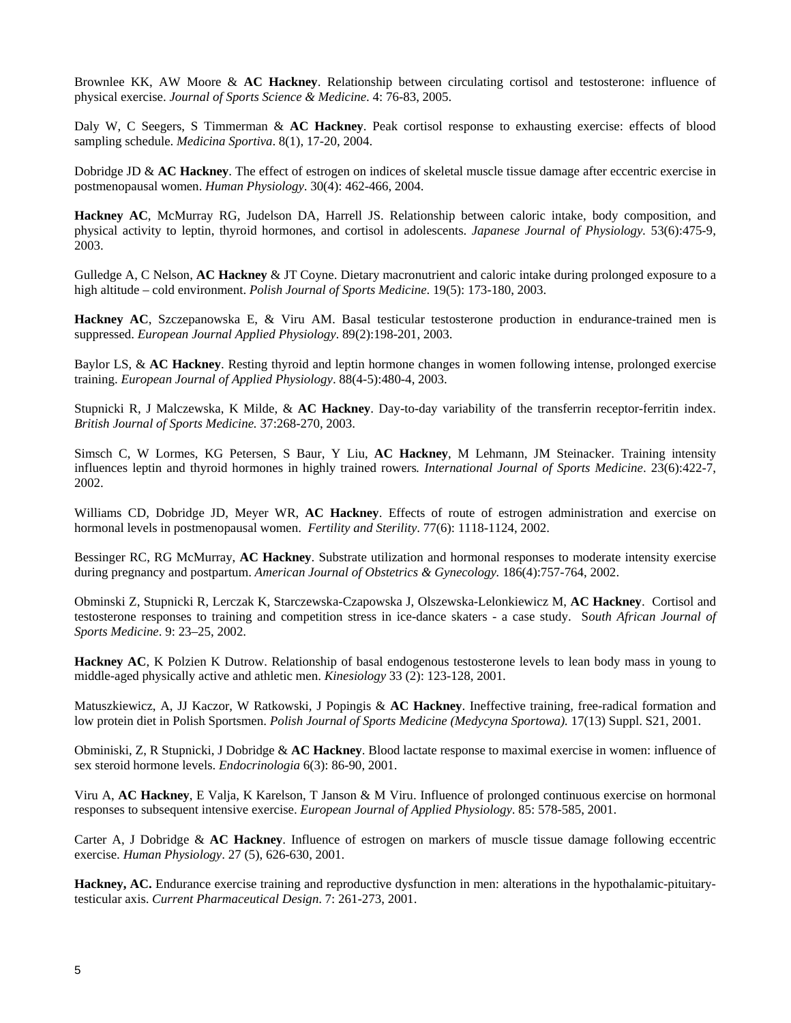Brownlee KK, AW Moore & **AC Hackney**. Relationship between circulating cortisol and testosterone: influence of physical exercise. *Journal of Sports Science & Medicine*. 4: 76-83, 2005.

Daly W, C Seegers, S Timmerman & **AC Hackney**. Peak cortisol response to exhausting exercise: effects of blood sampling schedule. *Medicina Sportiva*. 8(1), 17-20, 2004.

Dobridge JD & **AC Hackney**. The effect of estrogen on indices of skeletal muscle tissue damage after eccentric exercise in postmenopausal women. *Human Physiology*. 30(4): 462-466, 2004.

**Hackney AC**[, McMurray RG, Judelson DA, Harrell JS.](http://www.ncbi.nlm.nih.gov.libproxy.lib.unc.edu/sites/entrez?Db=pubmed&Cmd=ShowDetailView&TermToSearch=15038847&ordinalpos=11&itool=EntrezSystem2.PEntrez.Pubmed.Pubmed_ResultsPanel.Pubmed_RVDocSum) Relationship between caloric intake, body composition, and physical activity to leptin, thyroid hormones, and cortisol in adolescents. *Japanese Journal of Physiology.* 53(6):475-9, 2003.

Gulledge A, C Nelson, **AC Hackney** & JT Coyne. Dietary macronutrient and caloric intake during prolonged exposure to a high altitude – cold environment. *Polish Journal of Sports Medicine*. 19(5): 173-180, 2003.

**Hackney AC**, Szczepanowska E, & Viru AM. Basal testicular testosterone production in endurance-trained men is suppressed. *European Journal Applied Physiology*. 89(2):198-201, 2003.

Baylor LS, & **AC Hackney**. Resting thyroid and leptin hormone changes in women following intense, prolonged exercise training. *European Journal of Applied Physiology*. 88(4-5):480-4, 2003.

Stupnicki R, J Malczewska, K Milde, & **AC Hackney**. Day-to-day variability of the transferrin receptor-ferritin index. *British Journal of Sports Medicine.* 37:268-270, 2003.

Simsch C, W Lormes, KG Petersen, S Baur, Y Liu, **AC Hackney**, M Lehmann, JM Steinacker. Training intensity influences leptin and thyroid hormones in highly trained rowers*. International Journal of Sports Medicine*. 23(6):422-7, 2002.

Williams CD, Dobridge JD, Meyer WR, **AC Hackney**. Effects of route of estrogen administration and exercise on hormonal levels in postmenopausal women. *Fertility and Sterility*. 77(6): 1118-1124, 2002.

Bessinger RC, RG McMurray, **AC Hackney**. Substrate utilization and hormonal responses to moderate intensity exercise during pregnancy and postpartum. *American Journal of Obstetrics & Gynecology.* 186(4):757-764, 2002.

Obminski Z, Stupnicki R, Lerczak K, Starczewska-Czapowska J, Olszewska-Lelonkiewicz M, **AC Hackney**. Cortisol and testosterone responses to training and competition stress in ice-dance skaters - a case study. S*outh African Journal of Sports Medicine*. 9: 23–25, 2002.

**Hackney AC**, K Polzien K Dutrow. Relationship of basal endogenous testosterone levels to lean body mass in young to middle-aged physically active and athletic men. *Kinesiology* 33 (2): 123-128, 2001.

Matuszkiewicz, A, JJ Kaczor, W Ratkowski, J Popingis & **AC Hackney**. Ineffective training, free-radical formation and low protein diet in Polish Sportsmen. *Polish Journal of Sports Medicine (Medycyna Sportowa).* 17(13) Suppl. S21, 2001.

Obminiski, Z, R Stupnicki, J Dobridge & **AC Hackney**. Blood lactate response to maximal exercise in women: influence of sex steroid hormone levels. *Endocrinologia* 6(3): 86-90, 2001.

Viru A, **AC Hackney**, E Valja, K Karelson, T Janson & M Viru. Influence of prolonged continuous exercise on hormonal responses to subsequent intensive exercise. *European Journal of Applied Physiology*. 85: 578-585, 2001.

Carter A, J Dobridge & **AC Hackney**. Influence of estrogen on markers of muscle tissue damage following eccentric exercise. *Human Physiology*. 27 (5), 626-630, 2001.

**Hackney, AC.** Endurance exercise training and reproductive dysfunction in men: alterations in the hypothalamic-pituitarytesticular axis. *Current Pharmaceutical Design*. 7: 261-273, 2001.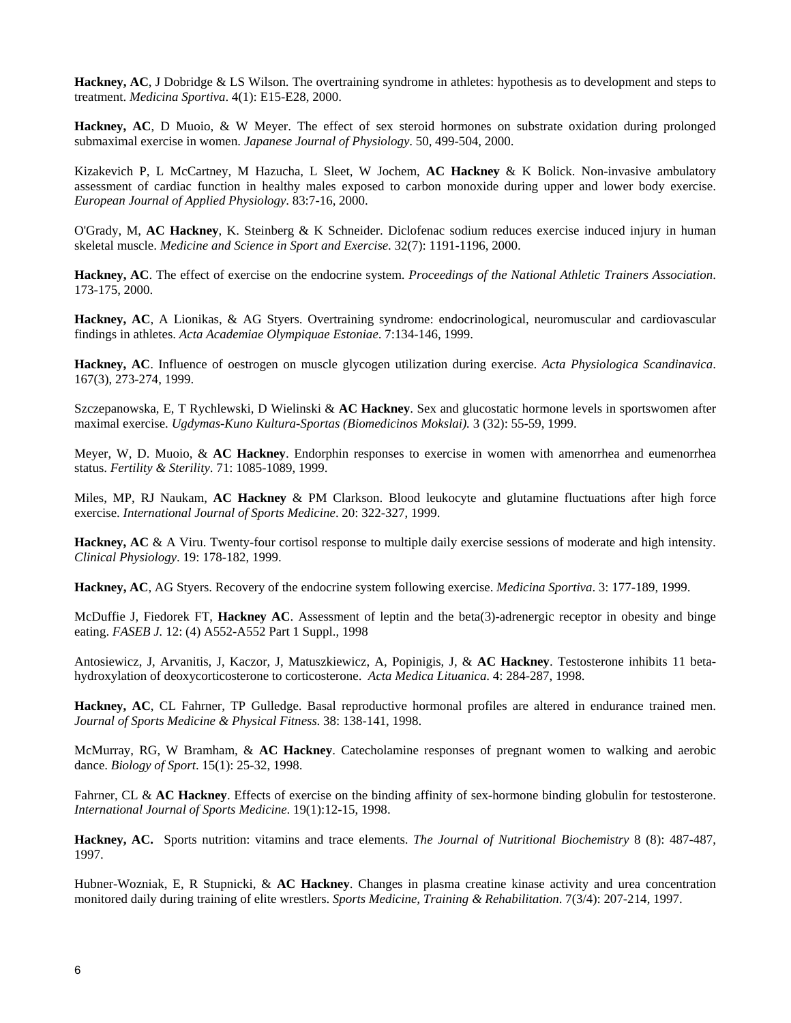**Hackney, AC**, J Dobridge & LS Wilson. The overtraining syndrome in athletes: hypothesis as to development and steps to treatment. *Medicina Sportiva*. 4(1): E15-E28, 2000.

**Hackney, AC**, D Muoio, & W Meyer. The effect of sex steroid hormones on substrate oxidation during prolonged submaximal exercise in women. *Japanese Journal of Physiology*. 50, 499-504, 2000.

Kizakevich P, L McCartney, M Hazucha, L Sleet, W Jochem, **AC Hackney** & K Bolick. Non-invasive ambulatory assessment of cardiac function in healthy males exposed to carbon monoxide during upper and lower body exercise. *European Journal of Applied Physiology*. 83:7-16, 2000.

O'Grady, M, **AC Hackney**, K. Steinberg & K Schneider. Diclofenac sodium reduces exercise induced injury in human skeletal muscle. *Medicine and Science in Sport and Exercise*. 32(7): 1191-1196, 2000.

**Hackney, AC**. The effect of exercise on the endocrine system. *Proceedings of the National Athletic Trainers Association*. 173-175, 2000.

**Hackney, AC**, A Lionikas, & AG Styers. Overtraining syndrome: endocrinological, neuromuscular and cardiovascular findings in athletes. *Acta Academiae Olympiquae Estoniae*. 7:134-146, 1999.

**Hackney, AC**. Influence of oestrogen on muscle glycogen utilization during exercise. *Acta Physiologica Scandinavica*. 167(3), 273-274, 1999.

Szczepanowska, E, T Rychlewski, D Wielinski & **AC Hackney**. Sex and glucostatic hormone levels in sportswomen after maximal exercise. *Ugdymas-Kuno Kultura-Sportas (Biomedicinos Mokslai).* 3 (32): 55-59, 1999.

Meyer, W, D. Muoio, & **AC Hackney**. Endorphin responses to exercise in women with amenorrhea and eumenorrhea status. *Fertility & Sterility*. 71: 1085-1089, 1999.

Miles, MP, RJ Naukam, **AC Hackney** & PM Clarkson. Blood leukocyte and glutamine fluctuations after high force exercise. *International Journal of Sports Medicine*. 20: 322-327, 1999.

**Hackney, AC** & A Viru. Twenty-four cortisol response to multiple daily exercise sessions of moderate and high intensity. *Clinical Physiology*. 19: 178-182, 1999.

**Hackney, AC**, AG Styers. Recovery of the endocrine system following exercise. *Medicina Sportiva*. 3: 177-189, 1999.

McDuffie J, Fiedorek FT, **Hackney AC**. Assessment of leptin and the beta(3)-adrenergic receptor in obesity and binge eating. *FASEB J.* 12: (4) A552-A552 Part 1 Suppl., 1998

Antosiewicz, J, Arvanitis, J, Kaczor, J, Matuszkiewicz, A, Popinigis, J, & **AC Hackney**. Testosterone inhibits 11 betahydroxylation of deoxycorticosterone to corticosterone. *Acta Medica Lituanica*. 4: 284-287, 1998.

**Hackney, AC**, CL Fahrner, TP Gulledge. Basal reproductive hormonal profiles are altered in endurance trained men. *Journal of Sports Medicine & Physical Fitness*. 38: 138-141, 1998.

McMurray, RG, W Bramham, & **AC Hackney**. Catecholamine responses of pregnant women to walking and aerobic dance. *Biology of Sport*. 15(1): 25-32, 1998.

Fahrner, CL & **AC Hackney**. Effects of exercise on the binding affinity of sex-hormone binding globulin for testosterone. *International Journal of Sports Medicine*. 19(1):12-15, 1998.

**Hackney, AC.** Sports nutrition: vitamins and trace elements. *The Journal of Nutritional Biochemistry* 8 (8): 487-487, 1997.

Hubner-Wozniak, E, R Stupnicki, & **AC Hackney**. Changes in plasma creatine kinase activity and urea concentration monitored daily during training of elite wrestlers. *Sports Medicine, Training & Rehabilitation*. 7(3/4): 207-214, 1997.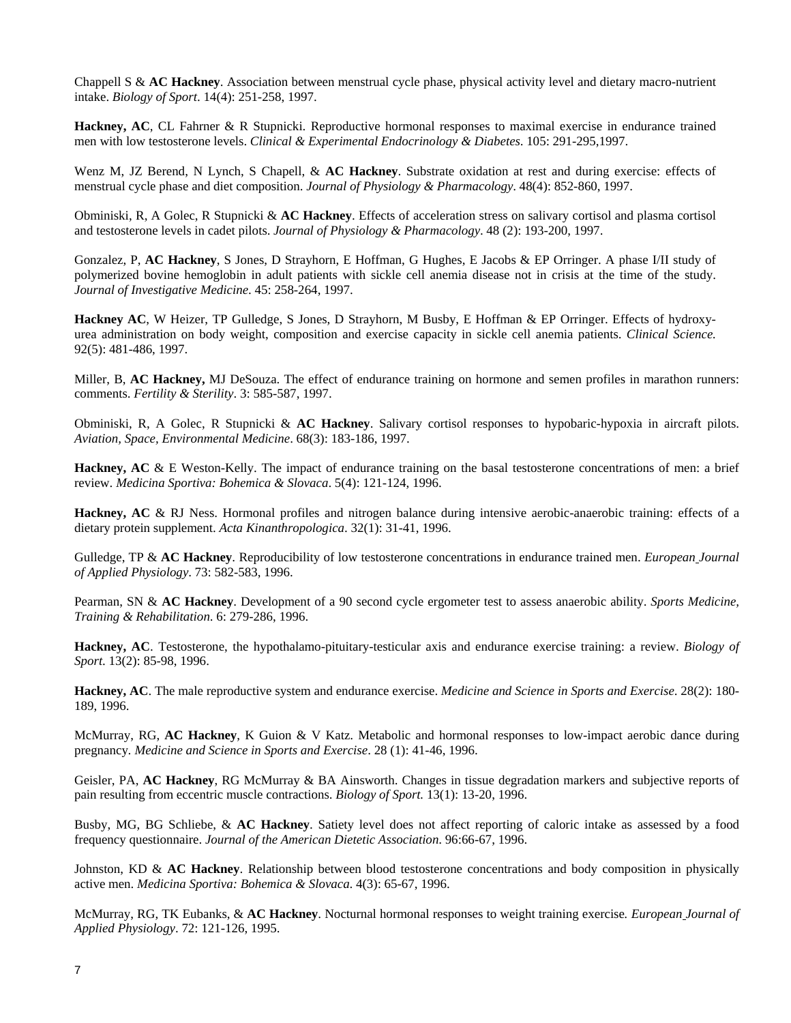Chappell S & **AC Hackney**. Association between menstrual cycle phase, physical activity level and dietary macro-nutrient intake. *Biology of Sport*. 14(4): 251-258, 1997.

**Hackney, AC**, CL Fahrner & R Stupnicki. Reproductive hormonal responses to maximal exercise in endurance trained men with low testosterone levels. *Clinical & Experimental Endocrinology & Diabetes*. 105: 291-295,1997.

Wenz M, JZ Berend, N Lynch, S Chapell, & **AC Hackney**. Substrate oxidation at rest and during exercise: effects of menstrual cycle phase and diet composition. *Journal of Physiology & Pharmacology*. 48(4): 852-860, 1997.

Obminiski, R, A Golec, R Stupnicki & **AC Hackney**. Effects of acceleration stress on salivary cortisol and plasma cortisol and testosterone levels in cadet pilots. *Journal of Physiology & Pharmacology*. 48 (2): 193-200, 1997.

Gonzalez, P, **AC Hackney**, S Jones, D Strayhorn, E Hoffman, G Hughes, E Jacobs & EP Orringer. A phase I/II study of polymerized bovine hemoglobin in adult patients with sickle cell anemia disease not in crisis at the time of the study. *Journal of Investigative Medicine*. 45: 258-264, 1997.

**Hackney AC**, W Heizer, TP Gulledge, S Jones, D Strayhorn, M Busby, E Hoffman & EP Orringer. Effects of hydroxyurea administration on body weight, composition and exercise capacity in sickle cell anemia patients. *Clinical Science.* 92(5): 481-486, 1997.

Miller, B, **AC Hackney,** MJ DeSouza. The effect of endurance training on hormone and semen profiles in marathon runners: comments. *Fertility & Sterility*. 3: 585-587, 1997.

Obminiski, R, A Golec, R Stupnicki & **AC Hackney**. Salivary cortisol responses to hypobaric-hypoxia in aircraft pilots. *Aviation, Space, Environmental Medicine*. 68(3): 183-186, 1997.

**Hackney, AC** & E Weston-Kelly. The impact of endurance training on the basal testosterone concentrations of men: a brief review. *Medicina Sportiva: Bohemica & Slovaca*. 5(4): 121-124, 1996.

**Hackney, AC** & RJ Ness. Hormonal profiles and nitrogen balance during intensive aerobic-anaerobic training: effects of a dietary protein supplement. *Acta Kinanthropologica*. 32(1): 31-41, 1996.

Gulledge, TP & **AC Hackney**. Reproducibility of low testosterone concentrations in endurance trained men. *European Journal of Applied Physiology*. 73: 582-583, 1996.

Pearman, SN & **AC Hackney**. Development of a 90 second cycle ergometer test to assess anaerobic ability. *Sports Medicine, Training & Rehabilitation*. 6: 279-286, 1996.

**Hackney, AC**. Testosterone, the hypothalamo-pituitary-testicular axis and endurance exercise training: a review. *Biology of Sport*. 13(2): 85-98, 1996.

**Hackney, AC**. The male reproductive system and endurance exercise. *Medicine and Science in Sports and Exercise*. 28(2): 180- 189, 1996.

McMurray, RG, **AC Hackney**, K Guion & V Katz. Metabolic and hormonal responses to low-impact aerobic dance during pregnancy*. Medicine and Science in Sports and Exercise*. 28 (1): 41-46, 1996.

Geisler, PA, **AC Hackney**, RG McMurray & BA Ainsworth. Changes in tissue degradation markers and subjective reports of pain resulting from eccentric muscle contractions. *Biology of Sport.* 13(1): 13-20, 1996.

Busby, MG, BG Schliebe, & **AC Hackney**. Satiety level does not affect reporting of caloric intake as assessed by a food frequency questionnaire. *Journal of the American Dietetic Association*. 96:66-67, 1996.

Johnston, KD & **AC Hackney**. Relationship between blood testosterone concentrations and body composition in physically active men. *Medicina Sportiva: Bohemica & Slovaca*. 4(3): 65-67, 1996.

McMurray, RG, TK Eubanks, & **AC Hackney**. Nocturnal hormonal responses to weight training exercise*. European Journal of Applied Physiology*. 72: 121-126, 1995.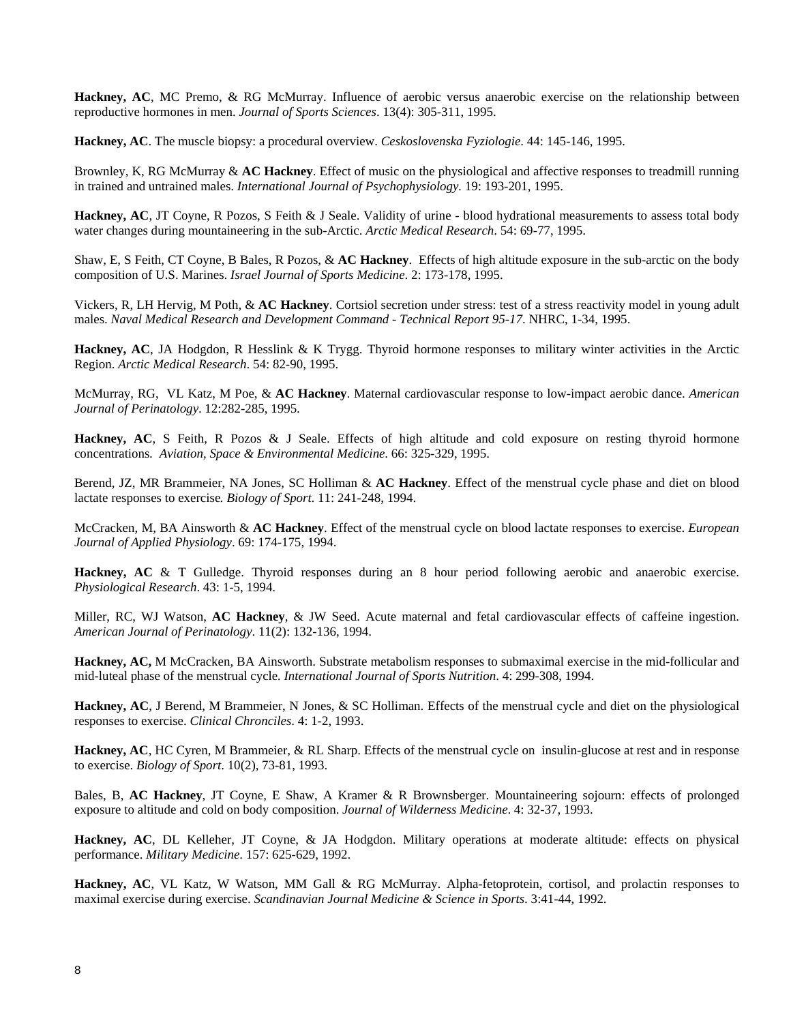**Hackney, AC**, MC Premo, & RG McMurray. Influence of aerobic versus anaerobic exercise on the relationship between reproductive hormones in men. *Journal of Sports Sciences*. 13(4): 305-311, 1995.

**Hackney, AC**. The muscle biopsy: a procedural overview. *Ceskoslovenska Fyziologie*. 44: 145-146, 1995.

Brownley, K, RG McMurray & **AC Hackney**. Effect of music on the physiological and affective responses to treadmill running in trained and untrained males. *International Journal of Psychophysiology.* 19: 193-201, 1995.

**Hackney, AC**, JT Coyne, R Pozos, S Feith & J Seale. Validity of urine - blood hydrational measurements to assess total body water changes during mountaineering in the sub-Arctic. *Arctic Medical Research*. 54: 69-77, 1995.

Shaw, E, S Feith, CT Coyne, B Bales, R Pozos, & **AC Hackney**. Effects of high altitude exposure in the sub-arctic on the body composition of U.S. Marines. *Israel Journal of Sports Medicine*. 2: 173-178, 1995.

Vickers, R, LH Hervig, M Poth, & **AC Hackney**. Cortsiol secretion under stress: test of a stress reactivity model in young adult males. *Naval Medical Research and Development Command - Technical Report 95-17*. NHRC, 1-34, 1995.

**Hackney, AC**, JA Hodgdon, R Hesslink & K Trygg. Thyroid hormone responses to military winter activities in the Arctic Region. *Arctic Medical Research*. 54: 82-90, 1995.

McMurray, RG, VL Katz, M Poe, & **AC Hackney**. Maternal cardiovascular response to low-impact aerobic dance. *American Journal of Perinatology*. 12:282-285, 1995.

**Hackney, AC**, S Feith, R Pozos & J Seale. Effects of high altitude and cold exposure on resting thyroid hormone concentrations*. Aviation, Space & Environmental Medicine*. 66: 325-329, 1995.

Berend, JZ, MR Brammeier, NA Jones, SC Holliman & **AC Hackney**. Effect of the menstrual cycle phase and diet on blood lactate responses to exercise*. Biology of Sport*. 11: 241-248, 1994.

McCracken, M, BA Ainsworth & **AC Hackney**. Effect of the menstrual cycle on blood lactate responses to exercise. *European Journal of Applied Physiology*. 69: 174-175, 1994.

**Hackney, AC** & T Gulledge. Thyroid responses during an 8 hour period following aerobic and anaerobic exercise. *Physiological Research*. 43: 1-5, 1994.

Miller, RC, WJ Watson, **AC Hackney**, & JW Seed. Acute maternal and fetal cardiovascular effects of caffeine ingestion. *American Journal of Perinatology*. 11(2): 132-136, 1994.

**Hackney, AC,** M McCracken, BA Ainsworth. Substrate metabolism responses to submaximal exercise in the mid-follicular and mid-luteal phase of the menstrual cycle*. International Journal of Sports Nutrition*. 4: 299-308, 1994.

**Hackney, AC**, J Berend, M Brammeier, N Jones, & SC Holliman. Effects of the menstrual cycle and diet on the physiological responses to exercise. *Clinical Chronciles*. 4: 1-2, 1993.

**Hackney, AC**, HC Cyren, M Brammeier, & RL Sharp. Effects of the menstrual cycle on insulin-glucose at rest and in response to exercise. *Biology of Sport*. 10(2), 73-81, 1993.

Bales, B, **AC Hackney**, JT Coyne, E Shaw, A Kramer & R Brownsberger. Mountaineering sojourn: effects of prolonged exposure to altitude and cold on body composition. *Journal of Wilderness Medicine*. 4: 32-37, 1993.

**Hackney, AC**, DL Kelleher, JT Coyne, & JA Hodgdon. Military operations at moderate altitude: effects on physical performance. *Military Medicine*. 157: 625-629, 1992.

**Hackney, AC**, VL Katz, W Watson, MM Gall & RG McMurray. Alpha-fetoprotein, cortisol, and prolactin responses to maximal exercise during exercise. *Scandinavian Journal Medicine & Science in Sports*. 3:41-44, 1992.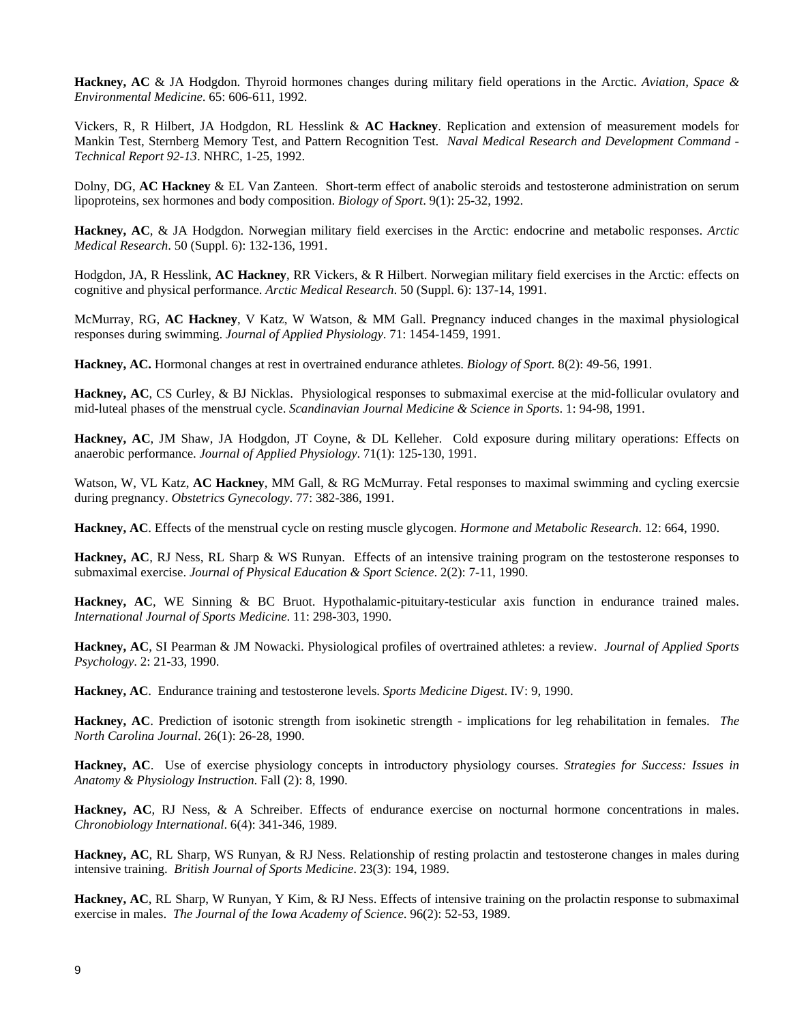**Hackney, AC** & JA Hodgdon. Thyroid hormones changes during military field operations in the Arctic. *Aviation, Space & Environmental Medicine*. 65: 606-611, 1992.

Vickers, R, R Hilbert, JA Hodgdon, RL Hesslink & **AC Hackney**. Replication and extension of measurement models for Mankin Test, Sternberg Memory Test, and Pattern Recognition Test. *Naval Medical Research and Development Command - Technical Report 92-13*. NHRC, 1-25, 1992.

Dolny, DG, **AC Hackney** & EL Van Zanteen. Short-term effect of anabolic steroids and testosterone administration on serum lipoproteins, sex hormones and body composition. *Biology of Sport*. 9(1): 25-32, 1992.

**Hackney, AC**, & JA Hodgdon. Norwegian military field exercises in the Arctic: endocrine and metabolic responses. *Arctic Medical Research*. 50 (Suppl. 6): 132-136, 1991.

Hodgdon, JA, R Hesslink, **AC Hackney**, RR Vickers, & R Hilbert. Norwegian military field exercises in the Arctic: effects on cognitive and physical performance. *Arctic Medical Research*. 50 (Suppl. 6): 137-14, 1991.

McMurray, RG, **AC Hackney**, V Katz, W Watson, & MM Gall. Pregnancy induced changes in the maximal physiological responses during swimming. *Journal of Applied Physiology*. 71: 1454-1459, 1991.

**Hackney, AC.** Hormonal changes at rest in overtrained endurance athletes. *Biology of Sport.* 8(2): 49-56, 1991.

**Hackney, AC**, CS Curley, & BJ Nicklas. Physiological responses to submaximal exercise at the mid-follicular ovulatory and mid-luteal phases of the menstrual cycle. *Scandinavian Journal Medicine & Science in Sports*. 1: 94-98, 1991.

**Hackney, AC**, JM Shaw, JA Hodgdon, JT Coyne, & DL Kelleher. Cold exposure during military operations: Effects on anaerobic performance. *Journal of Applied Physiology*. 71(1): 125-130, 1991.

Watson, W, VL Katz, **AC Hackney**, MM Gall, & RG McMurray. Fetal responses to maximal swimming and cycling exercsie during pregnancy. *Obstetrics Gynecology*. 77: 382-386, 1991.

**Hackney, AC**. Effects of the menstrual cycle on resting muscle glycogen. *Hormone and Metabolic Research*. 12: 664, 1990.

**Hackney, AC**, RJ Ness, RL Sharp & WS Runyan. Effects of an intensive training program on the testosterone responses to submaximal exercise. *Journal of Physical Education & Sport Science*. 2(2): 7-11, 1990.

**Hackney, AC**, WE Sinning & BC Bruot. Hypothalamic-pituitary-testicular axis function in endurance trained males. *International Journal of Sports Medicine*. 11: 298-303, 1990.

**Hackney, AC**, SI Pearman & JM Nowacki. Physiological profiles of overtrained athletes: a review. *Journal of Applied Sports Psychology*. 2: 21-33, 1990.

**Hackney, AC**. Endurance training and testosterone levels. *Sports Medicine Digest*. IV: 9, 1990.

**Hackney, AC**. Prediction of isotonic strength from isokinetic strength - implications for leg rehabilitation in females. *The North Carolina Journal*. 26(1): 26-28, 1990.

**Hackney, AC**. Use of exercise physiology concepts in introductory physiology courses. *Strategies for Success: Issues in Anatomy & Physiology Instruction*. Fall (2): 8, 1990.

**Hackney, AC**, RJ Ness, & A Schreiber. Effects of endurance exercise on nocturnal hormone concentrations in males. *Chronobiology International*. 6(4): 341-346, 1989.

**Hackney, AC**, RL Sharp, WS Runyan, & RJ Ness. Relationship of resting prolactin and testosterone changes in males during intensive training. *British Journal of Sports Medicine*. 23(3): 194, 1989.

**Hackney, AC**, RL Sharp, W Runyan, Y Kim, & RJ Ness. Effects of intensive training on the prolactin response to submaximal exercise in males. *The Journal of the Iowa Academy of Science*. 96(2): 52-53, 1989.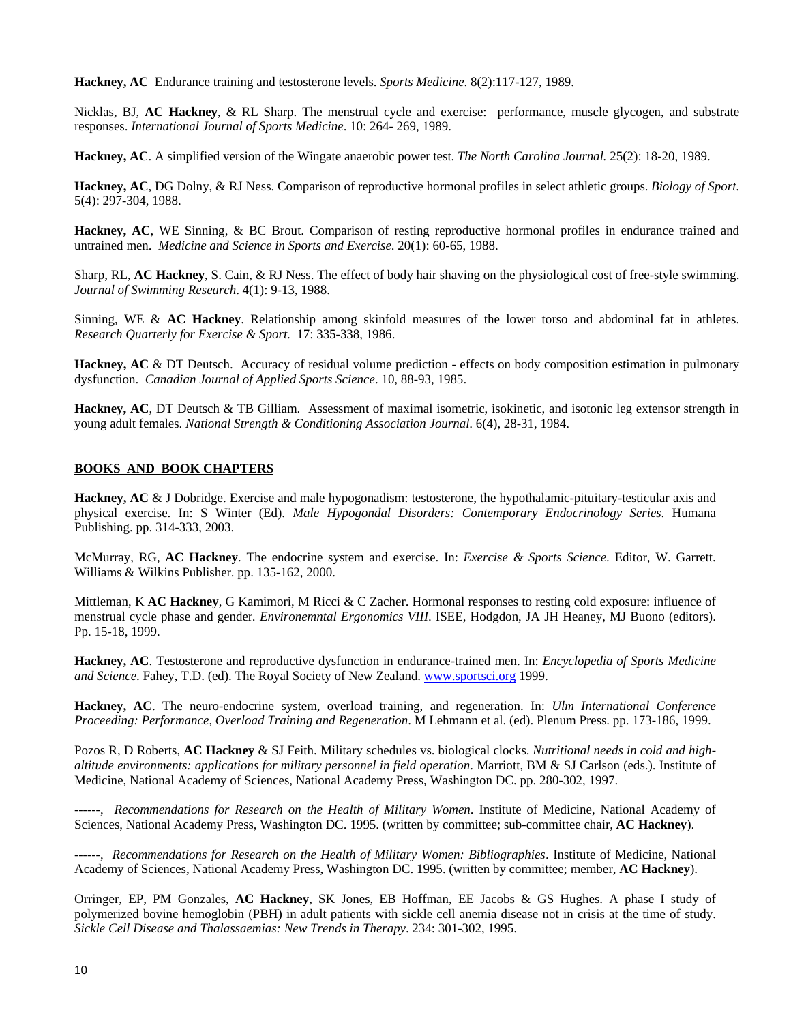**Hackney, AC** Endurance training and testosterone levels. *Sports Medicine*. 8(2):117-127, 1989.

Nicklas, BJ, **AC Hackney**, & RL Sharp. The menstrual cycle and exercise: performance, muscle glycogen, and substrate responses. *International Journal of Sports Medicine*. 10: 264- 269, 1989.

**Hackney, AC**. A simplified version of the Wingate anaerobic power test. *The North Carolina Journal.* 25(2): 18-20, 1989.

**Hackney, AC**, DG Dolny, & RJ Ness. Comparison of reproductive hormonal profiles in select athletic groups. *Biology of Sport*. 5(4): 297-304, 1988.

**Hackney, AC**, WE Sinning, & BC Brout. Comparison of resting reproductive hormonal profiles in endurance trained and untrained men. *Medicine and Science in Sports and Exercise*. 20(1): 60-65, 1988.

Sharp, RL, **AC Hackney**, S. Cain, & RJ Ness. The effect of body hair shaving on the physiological cost of free-style swimming. *Journal of Swimming Research*. 4(1): 9-13, 1988.

Sinning, WE & **AC Hackney**. Relationship among skinfold measures of the lower torso and abdominal fat in athletes. *Research Quarterly for Exercise & Sport*. 17: 335-338, 1986.

**Hackney, AC** & DT Deutsch. Accuracy of residual volume prediction - effects on body composition estimation in pulmonary dysfunction. *Canadian Journal of Applied Sports Science*. 10, 88-93, 1985.

**Hackney, AC**, DT Deutsch & TB Gilliam. Assessment of maximal isometric, isokinetic, and isotonic leg extensor strength in young adult females. *National Strength & Conditioning Association Journal*. 6(4), 28-31, 1984.

## **BOOKS AND BOOK CHAPTERS**

**Hackney, AC** & J Dobridge. Exercise and male hypogonadism: testosterone, the hypothalamic-pituitary-testicular axis and physical exercise. In: S Winter (Ed). *Male Hypogondal Disorders: Contemporary Endocrinology Series*. Humana Publishing. pp. 314-333, 2003.

McMurray, RG, **AC Hackney**. The endocrine system and exercise. In: *Exercise & Sports Science*. Editor, W. Garrett. Williams & Wilkins Publisher. pp. 135-162, 2000.

Mittleman, K **AC Hackney**, G Kamimori, M Ricci & C Zacher. Hormonal responses to resting cold exposure: influence of menstrual cycle phase and gender*. Environemntal Ergonomics VIII*. ISEE, Hodgdon, JA JH Heaney, MJ Buono (editors). Pp. 15-18, 1999.

**Hackney, AC**. Testosterone and reproductive dysfunction in endurance-trained men. In: *Encyclopedia of Sports Medicine and Science*. Fahey, T.D. (ed). The Royal Society of New Zealand. [www.sportsci.org](http://www.sportsci.org/) 1999.

**Hackney, AC**. The neuro-endocrine system, overload training, and regeneration. In: *Ulm International Conference Proceeding: Performance, Overload Training and Regeneration*. M Lehmann et al. (ed). Plenum Press. pp. 173-186, 1999.

Pozos R, D Roberts, **AC Hackney** & SJ Feith. Military schedules vs. biological clocks. *Nutritional needs in cold and highaltitude environments: applications for military personnel in field operation*. Marriott, BM & SJ Carlson (eds.). Institute of Medicine, National Academy of Sciences, National Academy Press, Washington DC. pp. 280-302, 1997.

------, *Recommendations for Research on the Health of Military Women*. Institute of Medicine, National Academy of Sciences, National Academy Press, Washington DC. 1995. (written by committee; sub-committee chair, **AC Hackney**).

------, *Recommendations for Research on the Health of Military Women: Bibliographies*. Institute of Medicine, National Academy of Sciences, National Academy Press, Washington DC. 1995. (written by committee; member, **AC Hackney**).

Orringer, EP, PM Gonzales, **AC Hackney**, SK Jones, EB Hoffman, EE Jacobs & GS Hughes. A phase I study of polymerized bovine hemoglobin (PBH) in adult patients with sickle cell anemia disease not in crisis at the time of study. *Sickle Cell Disease and Thalassaemias: New Trends in Therapy*. 234: 301-302, 1995.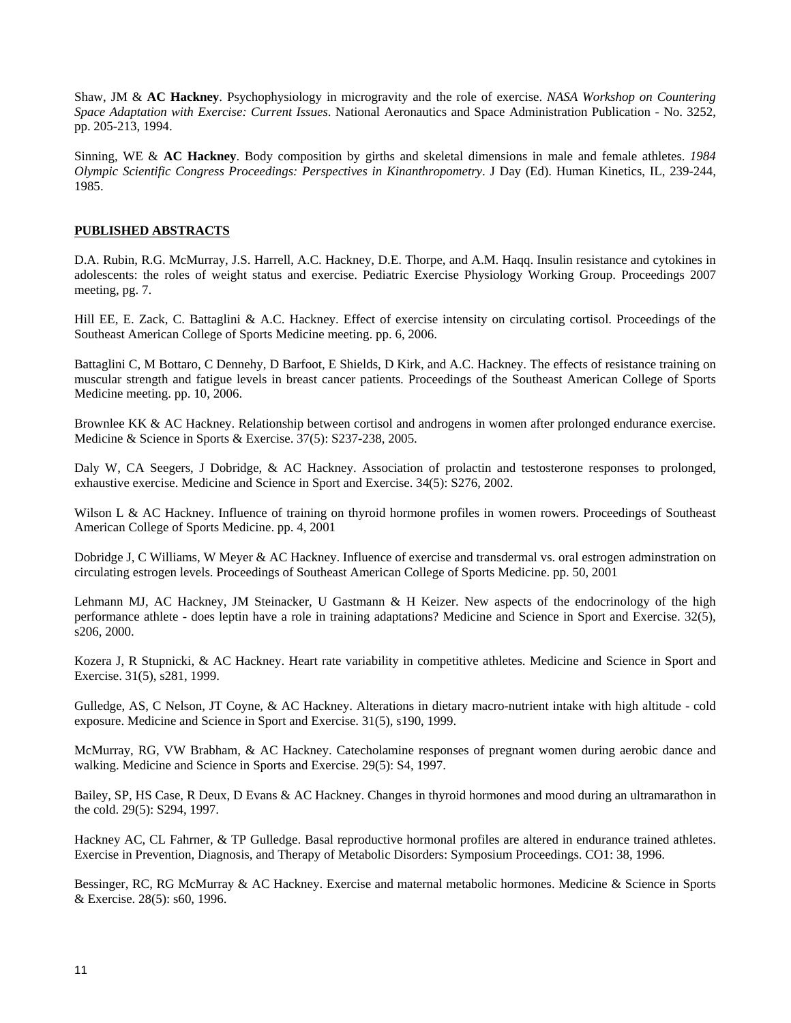Shaw, JM & **AC Hackney**. Psychophysiology in microgravity and the role of exercise. *NASA Workshop on Countering Space Adaptation with Exercise: Current Issues*. National Aeronautics and Space Administration Publication - No. 3252, pp. 205-213, 1994.

Sinning, WE & **AC Hackney**. Body composition by girths and skeletal dimensions in male and female athletes. *1984 Olympic Scientific Congress Proceedings: Perspectives in Kinanthropometry*. J Day (Ed). Human Kinetics, IL, 239-244, 1985.

## **PUBLISHED ABSTRACTS**

D.A. Rubin, R.G. McMurray, J.S. Harrell, A.C. Hackney, D.E. Thorpe, and A.M. Haqq. Insulin resistance and cytokines in adolescents: the roles of weight status and exercise. Pediatric Exercise Physiology Working Group. Proceedings 2007 meeting, pg. 7.

Hill EE, E. Zack, C. Battaglini & A.C. Hackney. Effect of exercise intensity on circulating cortisol. Proceedings of the Southeast American College of Sports Medicine meeting. pp. 6, 2006.

Battaglini C, M Bottaro, C Dennehy, D Barfoot, E Shields, D Kirk, and A.C. Hackney. The effects of resistance training on muscular strength and fatigue levels in breast cancer patients. Proceedings of the Southeast American College of Sports Medicine meeting. pp. 10, 2006.

Brownlee KK & AC Hackney. Relationship between cortisol and androgens in women after prolonged endurance exercise. Medicine & Science in Sports & Exercise. 37(5): S237-238, 2005.

Daly W, CA Seegers, J Dobridge, & AC Hackney. Association of prolactin and testosterone responses to prolonged, exhaustive exercise. Medicine and Science in Sport and Exercise. 34(5): S276, 2002.

Wilson L & AC Hackney. Influence of training on thyroid hormone profiles in women rowers. Proceedings of Southeast American College of Sports Medicine. pp. 4, 2001

Dobridge J, C Williams, W Meyer & AC Hackney. Influence of exercise and transdermal vs. oral estrogen adminstration on circulating estrogen levels. Proceedings of Southeast American College of Sports Medicine. pp. 50, 2001

Lehmann MJ, AC Hackney, JM Steinacker, U Gastmann & H Keizer. New aspects of the endocrinology of the high performance athlete - does leptin have a role in training adaptations? Medicine and Science in Sport and Exercise. 32(5), s206, 2000.

Kozera J, R Stupnicki, & AC Hackney. Heart rate variability in competitive athletes. Medicine and Science in Sport and Exercise. 31(5), s281, 1999.

Gulledge, AS, C Nelson, JT Coyne, & AC Hackney. Alterations in dietary macro-nutrient intake with high altitude - cold exposure. Medicine and Science in Sport and Exercise. 31(5), s190, 1999.

McMurray, RG, VW Brabham, & AC Hackney. Catecholamine responses of pregnant women during aerobic dance and walking. Medicine and Science in Sports and Exercise. 29(5): S4, 1997.

Bailey, SP, HS Case, R Deux, D Evans & AC Hackney. Changes in thyroid hormones and mood during an ultramarathon in the cold. 29(5): S294, 1997.

Hackney AC, CL Fahrner, & TP Gulledge. Basal reproductive hormonal profiles are altered in endurance trained athletes. Exercise in Prevention, Diagnosis, and Therapy of Metabolic Disorders: Symposium Proceedings. CO1: 38, 1996.

Bessinger, RC, RG McMurray & AC Hackney. Exercise and maternal metabolic hormones. Medicine & Science in Sports & Exercise. 28(5): s60, 1996.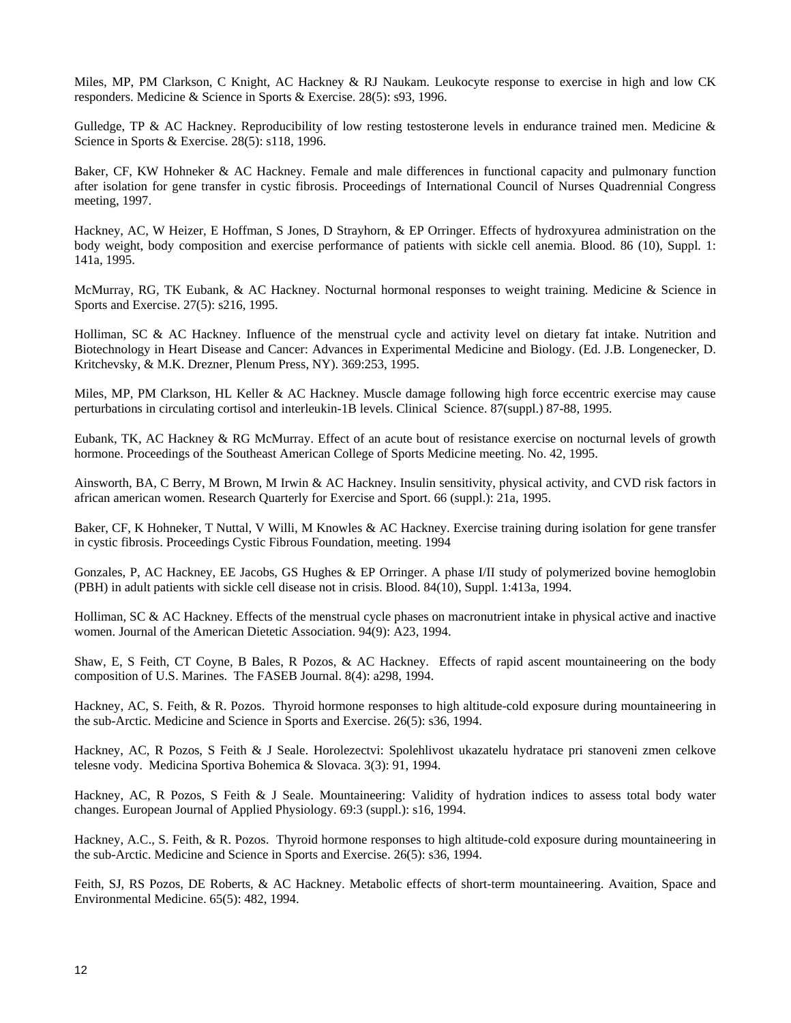Miles, MP, PM Clarkson, C Knight, AC Hackney & RJ Naukam. Leukocyte response to exercise in high and low CK responders. Medicine & Science in Sports & Exercise. 28(5): s93, 1996.

Gulledge, TP & AC Hackney. Reproducibility of low resting testosterone levels in endurance trained men. Medicine  $\&$ Science in Sports & Exercise. 28(5): s118, 1996.

Baker, CF, KW Hohneker & AC Hackney. Female and male differences in functional capacity and pulmonary function after isolation for gene transfer in cystic fibrosis. Proceedings of International Council of Nurses Quadrennial Congress meeting, 1997.

Hackney, AC, W Heizer, E Hoffman, S Jones, D Strayhorn, & EP Orringer. Effects of hydroxyurea administration on the body weight, body composition and exercise performance of patients with sickle cell anemia. Blood. 86 (10), Suppl. 1: 141a, 1995.

McMurray, RG, TK Eubank, & AC Hackney. Nocturnal hormonal responses to weight training. Medicine & Science in Sports and Exercise. 27(5): s216, 1995.

Holliman, SC & AC Hackney. Influence of the menstrual cycle and activity level on dietary fat intake. Nutrition and Biotechnology in Heart Disease and Cancer: Advances in Experimental Medicine and Biology. (Ed. J.B. Longenecker, D. Kritchevsky, & M.K. Drezner, Plenum Press, NY). 369:253, 1995.

Miles, MP, PM Clarkson, HL Keller & AC Hackney. Muscle damage following high force eccentric exercise may cause perturbations in circulating cortisol and interleukin-1B levels. Clinical Science. 87(suppl.) 87-88, 1995.

Eubank, TK, AC Hackney & RG McMurray. Effect of an acute bout of resistance exercise on nocturnal levels of growth hormone. Proceedings of the Southeast American College of Sports Medicine meeting. No. 42, 1995.

Ainsworth, BA, C Berry, M Brown, M Irwin & AC Hackney. Insulin sensitivity, physical activity, and CVD risk factors in african american women. Research Quarterly for Exercise and Sport. 66 (suppl.): 21a, 1995.

Baker, CF, K Hohneker, T Nuttal, V Willi, M Knowles & AC Hackney. Exercise training during isolation for gene transfer in cystic fibrosis. Proceedings Cystic Fibrous Foundation, meeting. 1994

Gonzales, P, AC Hackney, EE Jacobs, GS Hughes & EP Orringer. A phase I/II study of polymerized bovine hemoglobin (PBH) in adult patients with sickle cell disease not in crisis. Blood. 84(10), Suppl. 1:413a, 1994.

Holliman, SC & AC Hackney. Effects of the menstrual cycle phases on macronutrient intake in physical active and inactive women. Journal of the American Dietetic Association. 94(9): A23, 1994.

Shaw, E, S Feith, CT Coyne, B Bales, R Pozos, & AC Hackney. Effects of rapid ascent mountaineering on the body composition of U.S. Marines. The FASEB Journal. 8(4): a298, 1994.

Hackney, AC, S. Feith, & R. Pozos. Thyroid hormone responses to high altitude-cold exposure during mountaineering in the sub-Arctic. Medicine and Science in Sports and Exercise. 26(5): s36, 1994.

Hackney, AC, R Pozos, S Feith & J Seale. Horolezectvi: Spolehlivost ukazatelu hydratace pri stanoveni zmen celkove telesne vody. Medicina Sportiva Bohemica & Slovaca. 3(3): 91, 1994.

Hackney, AC, R Pozos, S Feith & J Seale. Mountaineering: Validity of hydration indices to assess total body water changes. European Journal of Applied Physiology. 69:3 (suppl.): s16, 1994.

Hackney, A.C., S. Feith, & R. Pozos. Thyroid hormone responses to high altitude-cold exposure during mountaineering in the sub-Arctic. Medicine and Science in Sports and Exercise. 26(5): s36, 1994.

Feith, SJ, RS Pozos, DE Roberts, & AC Hackney. Metabolic effects of short-term mountaineering. Avaition, Space and Environmental Medicine. 65(5): 482, 1994.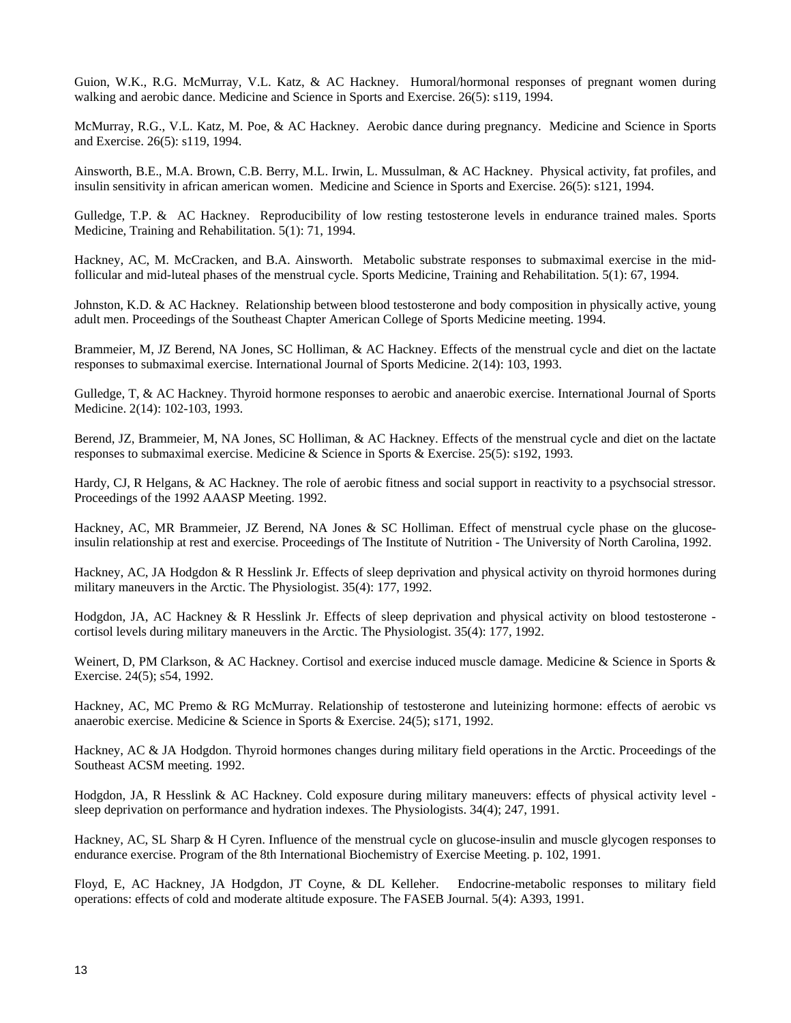Guion, W.K., R.G. McMurray, V.L. Katz, & AC Hackney. Humoral/hormonal responses of pregnant women during walking and aerobic dance. Medicine and Science in Sports and Exercise. 26(5): s119, 1994.

McMurray, R.G., V.L. Katz, M. Poe, & AC Hackney. Aerobic dance during pregnancy. Medicine and Science in Sports and Exercise. 26(5): s119, 1994.

Ainsworth, B.E., M.A. Brown, C.B. Berry, M.L. Irwin, L. Mussulman, & AC Hackney. Physical activity, fat profiles, and insulin sensitivity in african american women. Medicine and Science in Sports and Exercise. 26(5): s121, 1994.

Gulledge, T.P. & AC Hackney. Reproducibility of low resting testosterone levels in endurance trained males. Sports Medicine, Training and Rehabilitation. 5(1): 71, 1994.

Hackney, AC, M. McCracken, and B.A. Ainsworth. Metabolic substrate responses to submaximal exercise in the midfollicular and mid-luteal phases of the menstrual cycle. Sports Medicine, Training and Rehabilitation. 5(1): 67, 1994.

Johnston, K.D. & AC Hackney. Relationship between blood testosterone and body composition in physically active, young adult men. Proceedings of the Southeast Chapter American College of Sports Medicine meeting. 1994.

Brammeier, M, JZ Berend, NA Jones, SC Holliman, & AC Hackney. Effects of the menstrual cycle and diet on the lactate responses to submaximal exercise. International Journal of Sports Medicine. 2(14): 103, 1993.

Gulledge, T, & AC Hackney. Thyroid hormone responses to aerobic and anaerobic exercise. International Journal of Sports Medicine. 2(14): 102-103, 1993.

Berend, JZ, Brammeier, M, NA Jones, SC Holliman, & AC Hackney. Effects of the menstrual cycle and diet on the lactate responses to submaximal exercise. Medicine & Science in Sports & Exercise. 25(5): s192, 1993.

Hardy, CJ, R Helgans, & AC Hackney. The role of aerobic fitness and social support in reactivity to a psychsocial stressor. Proceedings of the 1992 AAASP Meeting. 1992.

Hackney, AC, MR Brammeier, JZ Berend, NA Jones & SC Holliman. Effect of menstrual cycle phase on the glucoseinsulin relationship at rest and exercise. Proceedings of The Institute of Nutrition - The University of North Carolina, 1992.

Hackney, AC, JA Hodgdon & R Hesslink Jr. Effects of sleep deprivation and physical activity on thyroid hormones during military maneuvers in the Arctic. The Physiologist. 35(4): 177, 1992.

Hodgdon, JA, AC Hackney & R Hesslink Jr. Effects of sleep deprivation and physical activity on blood testosterone cortisol levels during military maneuvers in the Arctic. The Physiologist. 35(4): 177, 1992.

Weinert, D, PM Clarkson, & AC Hackney. Cortisol and exercise induced muscle damage. Medicine & Science in Sports & Exercise. 24(5); s54, 1992.

Hackney, AC, MC Premo & RG McMurray. Relationship of testosterone and luteinizing hormone: effects of aerobic vs anaerobic exercise. Medicine & Science in Sports & Exercise. 24(5); s171, 1992.

Hackney, AC & JA Hodgdon. Thyroid hormones changes during military field operations in the Arctic. Proceedings of the Southeast ACSM meeting. 1992.

Hodgdon, JA, R Hesslink & AC Hackney. Cold exposure during military maneuvers: effects of physical activity level sleep deprivation on performance and hydration indexes. The Physiologists. 34(4); 247, 1991.

Hackney, AC, SL Sharp & H Cyren. Influence of the menstrual cycle on glucose-insulin and muscle glycogen responses to endurance exercise. Program of the 8th International Biochemistry of Exercise Meeting. p. 102, 1991.

Floyd, E, AC Hackney, JA Hodgdon, JT Coyne, & DL Kelleher. Endocrine-metabolic responses to military field operations: effects of cold and moderate altitude exposure. The FASEB Journal. 5(4): A393, 1991.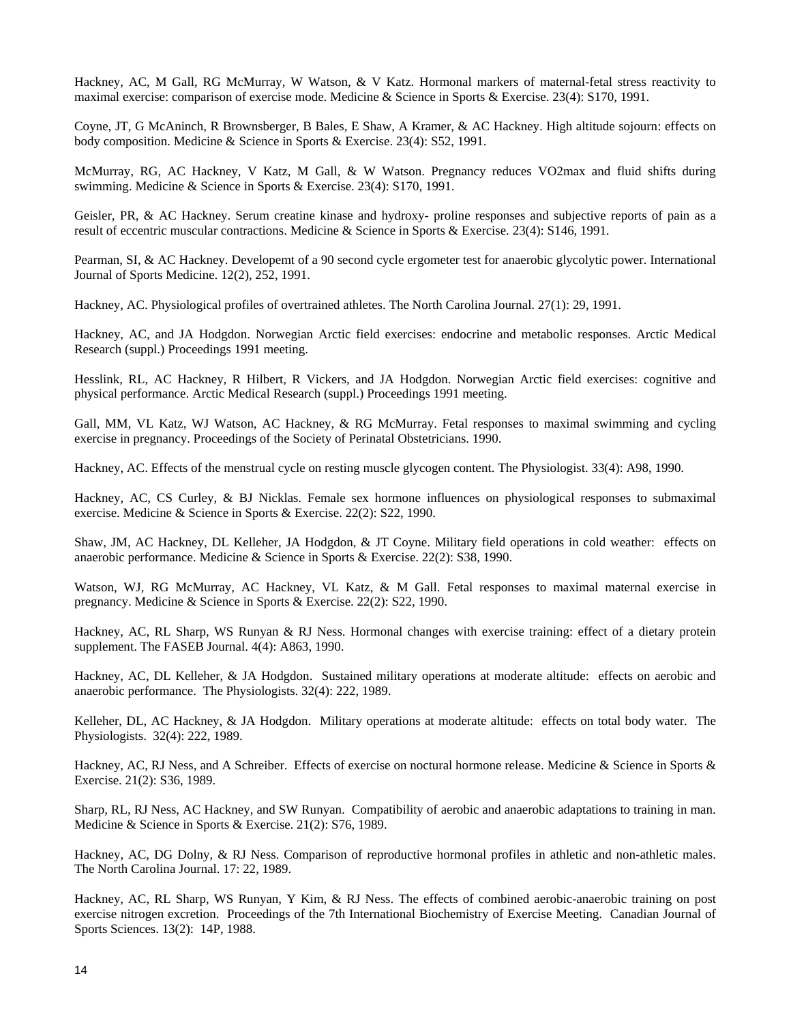Hackney, AC, M Gall, RG McMurray, W Watson, & V Katz. Hormonal markers of maternal-fetal stress reactivity to maximal exercise: comparison of exercise mode. Medicine & Science in Sports & Exercise. 23(4): S170, 1991.

Coyne, JT, G McAninch, R Brownsberger, B Bales, E Shaw, A Kramer, & AC Hackney. High altitude sojourn: effects on body composition. Medicine & Science in Sports & Exercise. 23(4): S52, 1991.

McMurray, RG, AC Hackney, V Katz, M Gall, & W Watson. Pregnancy reduces VO2max and fluid shifts during swimming. Medicine & Science in Sports & Exercise. 23(4): S170, 1991.

Geisler, PR, & AC Hackney. Serum creatine kinase and hydroxy- proline responses and subjective reports of pain as a result of eccentric muscular contractions. Medicine & Science in Sports & Exercise. 23(4): S146, 1991.

Pearman, SI, & AC Hackney. Developemt of a 90 second cycle ergometer test for anaerobic glycolytic power. International Journal of Sports Medicine. 12(2), 252, 1991.

Hackney, AC. Physiological profiles of overtrained athletes. The North Carolina Journal. 27(1): 29, 1991.

Hackney, AC, and JA Hodgdon. Norwegian Arctic field exercises: endocrine and metabolic responses. Arctic Medical Research (suppl.) Proceedings 1991 meeting.

Hesslink, RL, AC Hackney, R Hilbert, R Vickers, and JA Hodgdon. Norwegian Arctic field exercises: cognitive and physical performance. Arctic Medical Research (suppl.) Proceedings 1991 meeting.

Gall, MM, VL Katz, WJ Watson, AC Hackney, & RG McMurray. Fetal responses to maximal swimming and cycling exercise in pregnancy. Proceedings of the Society of Perinatal Obstetricians. 1990.

Hackney, AC. Effects of the menstrual cycle on resting muscle glycogen content. The Physiologist. 33(4): A98, 1990.

Hackney, AC, CS Curley, & BJ Nicklas. Female sex hormone influences on physiological responses to submaximal exercise. Medicine & Science in Sports & Exercise. 22(2): S22, 1990.

Shaw, JM, AC Hackney, DL Kelleher, JA Hodgdon, & JT Coyne. Military field operations in cold weather: effects on anaerobic performance. Medicine & Science in Sports & Exercise. 22(2): S38, 1990.

Watson, WJ, RG McMurray, AC Hackney, VL Katz, & M Gall. Fetal responses to maximal maternal exercise in pregnancy. Medicine & Science in Sports & Exercise. 22(2): S22, 1990.

Hackney, AC, RL Sharp, WS Runyan & RJ Ness. Hormonal changes with exercise training: effect of a dietary protein supplement. The FASEB Journal. 4(4): A863, 1990.

Hackney, AC, DL Kelleher, & JA Hodgdon. Sustained military operations at moderate altitude: effects on aerobic and anaerobic performance. The Physiologists. 32(4): 222, 1989.

Kelleher, DL, AC Hackney, & JA Hodgdon. Military operations at moderate altitude: effects on total body water. The Physiologists. 32(4): 222, 1989.

Hackney, AC, RJ Ness, and A Schreiber. Effects of exercise on noctural hormone release. Medicine & Science in Sports & Exercise. 21(2): S36, 1989.

Sharp, RL, RJ Ness, AC Hackney, and SW Runyan. Compatibility of aerobic and anaerobic adaptations to training in man. Medicine & Science in Sports & Exercise. 21(2): S76, 1989.

Hackney, AC, DG Dolny, & RJ Ness. Comparison of reproductive hormonal profiles in athletic and non-athletic males. The North Carolina Journal. 17: 22, 1989.

Hackney, AC, RL Sharp, WS Runyan, Y Kim, & RJ Ness. The effects of combined aerobic-anaerobic training on post exercise nitrogen excretion. Proceedings of the 7th International Biochemistry of Exercise Meeting. Canadian Journal of Sports Sciences. 13(2): 14P, 1988.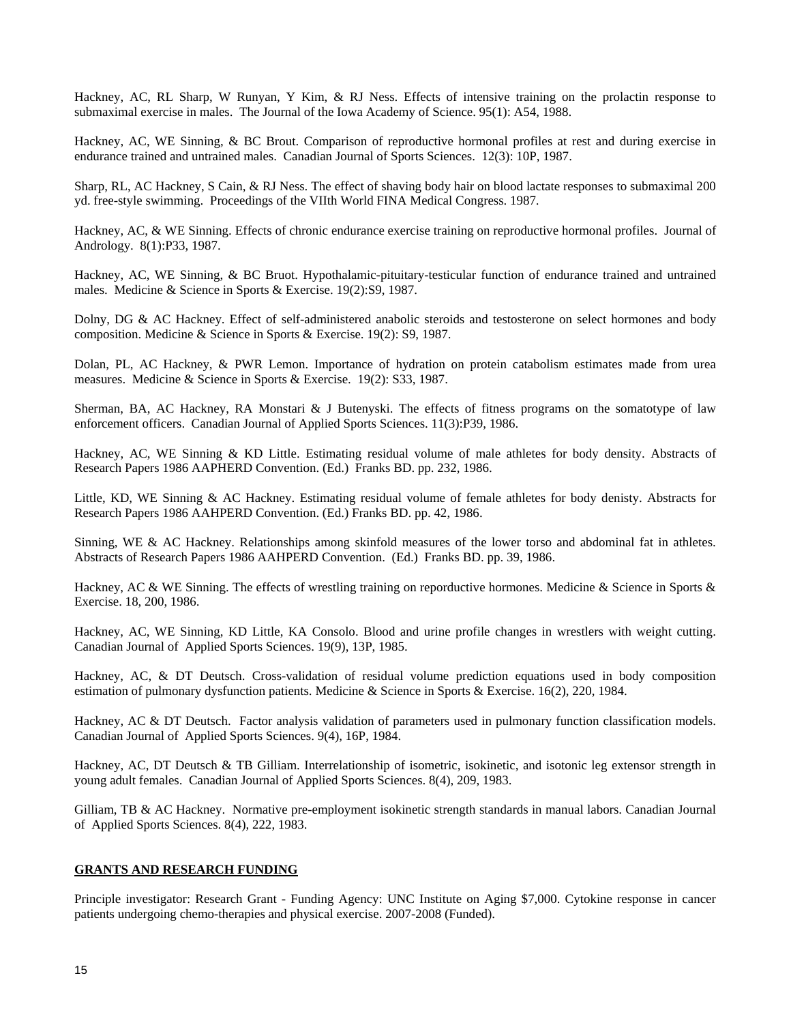Hackney, AC, RL Sharp, W Runyan, Y Kim, & RJ Ness. Effects of intensive training on the prolactin response to submaximal exercise in males. The Journal of the Iowa Academy of Science. 95(1): A54, 1988.

Hackney, AC, WE Sinning, & BC Brout. Comparison of reproductive hormonal profiles at rest and during exercise in endurance trained and untrained males. Canadian Journal of Sports Sciences. 12(3): 10P, 1987.

Sharp, RL, AC Hackney, S Cain, & RJ Ness. The effect of shaving body hair on blood lactate responses to submaximal 200 yd. free-style swimming. Proceedings of the VIIth World FINA Medical Congress. 1987.

Hackney, AC, & WE Sinning. Effects of chronic endurance exercise training on reproductive hormonal profiles. Journal of Andrology. 8(1):P33, 1987.

Hackney, AC, WE Sinning, & BC Bruot. Hypothalamic-pituitary-testicular function of endurance trained and untrained males. Medicine & Science in Sports & Exercise. 19(2):S9, 1987.

Dolny, DG & AC Hackney. Effect of self-administered anabolic steroids and testosterone on select hormones and body composition. Medicine & Science in Sports & Exercise. 19(2): S9, 1987.

Dolan, PL, AC Hackney, & PWR Lemon. Importance of hydration on protein catabolism estimates made from urea measures. Medicine & Science in Sports & Exercise. 19(2): S33, 1987.

Sherman, BA, AC Hackney, RA Monstari & J Butenyski. The effects of fitness programs on the somatotype of law enforcement officers. Canadian Journal of Applied Sports Sciences. 11(3):P39, 1986.

Hackney, AC, WE Sinning & KD Little. Estimating residual volume of male athletes for body density. Abstracts of Research Papers 1986 AAPHERD Convention. (Ed.) Franks BD. pp. 232, 1986.

Little, KD, WE Sinning & AC Hackney. Estimating residual volume of female athletes for body denisty. Abstracts for Research Papers 1986 AAHPERD Convention. (Ed.) Franks BD. pp. 42, 1986.

Sinning, WE & AC Hackney. Relationships among skinfold measures of the lower torso and abdominal fat in athletes. Abstracts of Research Papers 1986 AAHPERD Convention. (Ed.) Franks BD. pp. 39, 1986.

Hackney, AC & WE Sinning. The effects of wrestling training on reporductive hormones. Medicine & Science in Sports & Exercise. 18, 200, 1986.

Hackney, AC, WE Sinning, KD Little, KA Consolo. Blood and urine profile changes in wrestlers with weight cutting. Canadian Journal of Applied Sports Sciences. 19(9), 13P, 1985.

Hackney, AC, & DT Deutsch. Cross-validation of residual volume prediction equations used in body composition estimation of pulmonary dysfunction patients. Medicine & Science in Sports & Exercise. 16(2), 220, 1984.

Hackney, AC & DT Deutsch. Factor analysis validation of parameters used in pulmonary function classification models. Canadian Journal of Applied Sports Sciences. 9(4), 16P, 1984.

Hackney, AC, DT Deutsch & TB Gilliam. Interrelationship of isometric, isokinetic, and isotonic leg extensor strength in young adult females. Canadian Journal of Applied Sports Sciences. 8(4), 209, 1983.

Gilliam, TB & AC Hackney. Normative pre-employment isokinetic strength standards in manual labors. Canadian Journal of Applied Sports Sciences. 8(4), 222, 1983.

## **GRANTS AND RESEARCH FUNDING**

Principle investigator: Research Grant - Funding Agency: UNC Institute on Aging \$7,000. Cytokine response in cancer patients undergoing chemo-therapies and physical exercise. 2007-2008 (Funded).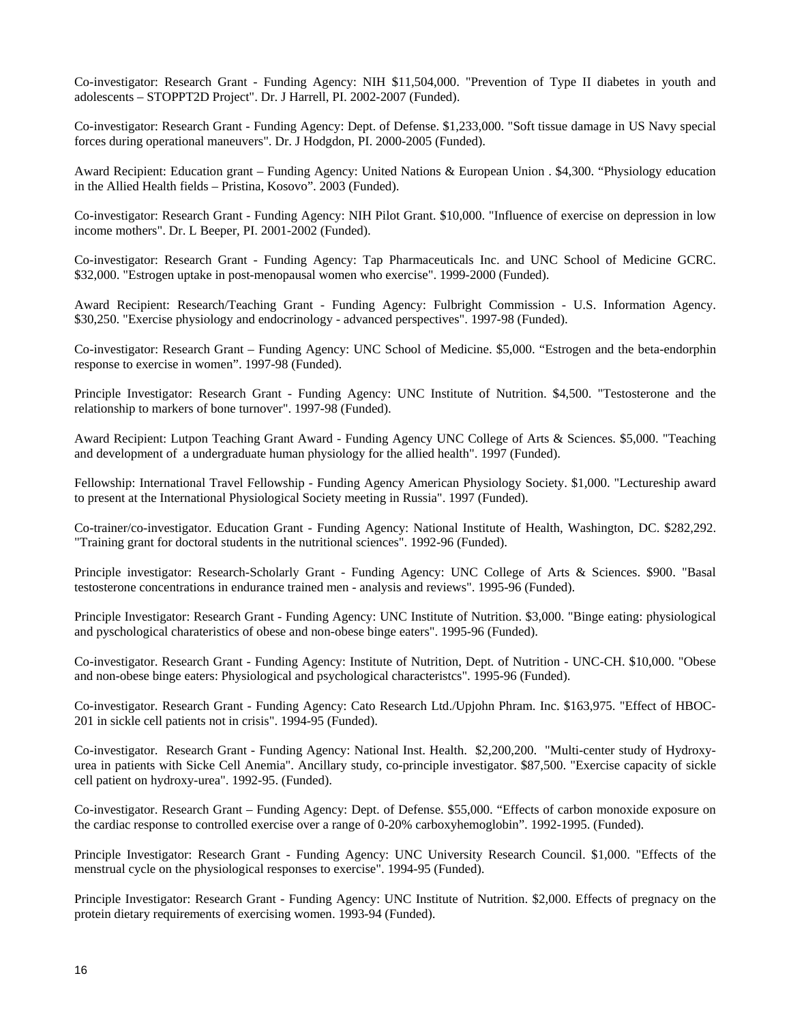Co-investigator: Research Grant - Funding Agency: NIH \$11,504,000. "Prevention of Type II diabetes in youth and adolescents – STOPPT2D Project". Dr. J Harrell, PI. 2002-2007 (Funded).

Co-investigator: Research Grant - Funding Agency: Dept. of Defense. \$1,233,000. "Soft tissue damage in US Navy special forces during operational maneuvers". Dr. J Hodgdon, PI. 2000-2005 (Funded).

Award Recipient: Education grant – Funding Agency: United Nations & European Union . \$4,300. "Physiology education in the Allied Health fields – Pristina, Kosovo". 2003 (Funded).

Co-investigator: Research Grant - Funding Agency: NIH Pilot Grant. \$10,000. "Influence of exercise on depression in low income mothers". Dr. L Beeper, PI. 2001-2002 (Funded).

Co-investigator: Research Grant - Funding Agency: Tap Pharmaceuticals Inc. and UNC School of Medicine GCRC. \$32,000. "Estrogen uptake in post-menopausal women who exercise". 1999-2000 (Funded).

Award Recipient: Research/Teaching Grant - Funding Agency: Fulbright Commission - U.S. Information Agency. \$30,250. "Exercise physiology and endocrinology - advanced perspectives". 1997-98 (Funded).

Co-investigator: Research Grant – Funding Agency: UNC School of Medicine. \$5,000. "Estrogen and the beta-endorphin response to exercise in women". 1997-98 (Funded).

Principle Investigator: Research Grant - Funding Agency: UNC Institute of Nutrition. \$4,500. "Testosterone and the relationship to markers of bone turnover". 1997-98 (Funded).

Award Recipient: Lutpon Teaching Grant Award - Funding Agency UNC College of Arts & Sciences. \$5,000. "Teaching and development of a undergraduate human physiology for the allied health". 1997 (Funded).

Fellowship: International Travel Fellowship - Funding Agency American Physiology Society. \$1,000. "Lectureship award to present at the International Physiological Society meeting in Russia". 1997 (Funded).

Co-trainer/co-investigator. Education Grant - Funding Agency: National Institute of Health, Washington, DC. \$282,292. "Training grant for doctoral students in the nutritional sciences". 1992-96 (Funded).

Principle investigator: Research-Scholarly Grant - Funding Agency: UNC College of Arts & Sciences. \$900. "Basal testosterone concentrations in endurance trained men - analysis and reviews". 1995-96 (Funded).

Principle Investigator: Research Grant - Funding Agency: UNC Institute of Nutrition. \$3,000. "Binge eating: physiological and pyschological charateristics of obese and non-obese binge eaters". 1995-96 (Funded).

Co-investigator. Research Grant - Funding Agency: Institute of Nutrition, Dept. of Nutrition - UNC-CH. \$10,000. "Obese and non-obese binge eaters: Physiological and psychological characteristcs". 1995-96 (Funded).

Co-investigator. Research Grant - Funding Agency: Cato Research Ltd./Upjohn Phram. Inc. \$163,975. "Effect of HBOC-201 in sickle cell patients not in crisis". 1994-95 (Funded).

Co-investigator. Research Grant - Funding Agency: National Inst. Health. \$2,200,200. "Multi-center study of Hydroxyurea in patients with Sicke Cell Anemia". Ancillary study, co-principle investigator. \$87,500. "Exercise capacity of sickle cell patient on hydroxy-urea". 1992-95. (Funded).

Co-investigator. Research Grant – Funding Agency: Dept. of Defense. \$55,000. "Effects of carbon monoxide exposure on the cardiac response to controlled exercise over a range of 0-20% carboxyhemoglobin". 1992-1995. (Funded).

Principle Investigator: Research Grant - Funding Agency: UNC University Research Council. \$1,000. "Effects of the menstrual cycle on the physiological responses to exercise". 1994-95 (Funded).

Principle Investigator: Research Grant - Funding Agency: UNC Institute of Nutrition. \$2,000. Effects of pregnacy on the protein dietary requirements of exercising women. 1993-94 (Funded).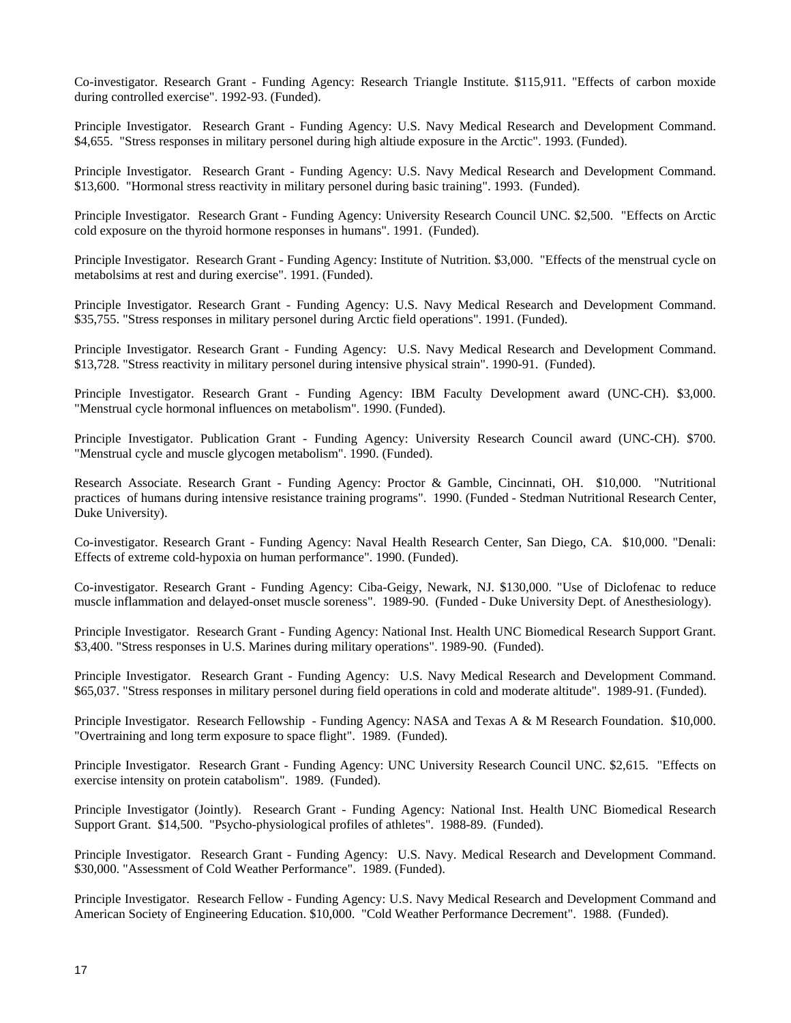Co-investigator. Research Grant - Funding Agency: Research Triangle Institute. \$115,911. "Effects of carbon moxide during controlled exercise". 1992-93. (Funded).

Principle Investigator. Research Grant - Funding Agency: U.S. Navy Medical Research and Development Command. \$4,655. "Stress responses in military personel during high altiude exposure in the Arctic". 1993. (Funded).

Principle Investigator. Research Grant - Funding Agency: U.S. Navy Medical Research and Development Command. \$13,600. "Hormonal stress reactivity in military personel during basic training". 1993. (Funded).

Principle Investigator. Research Grant - Funding Agency: University Research Council UNC. \$2,500. "Effects on Arctic cold exposure on the thyroid hormone responses in humans". 1991. (Funded).

Principle Investigator. Research Grant - Funding Agency: Institute of Nutrition. \$3,000. "Effects of the menstrual cycle on metabolsims at rest and during exercise". 1991. (Funded).

Principle Investigator. Research Grant - Funding Agency: U.S. Navy Medical Research and Development Command. \$35,755. "Stress responses in military personel during Arctic field operations". 1991. (Funded).

Principle Investigator. Research Grant - Funding Agency: U.S. Navy Medical Research and Development Command. \$13,728. "Stress reactivity in military personel during intensive physical strain". 1990-91. (Funded).

Principle Investigator. Research Grant - Funding Agency: IBM Faculty Development award (UNC-CH). \$3,000. "Menstrual cycle hormonal influences on metabolism". 1990. (Funded).

Principle Investigator. Publication Grant - Funding Agency: University Research Council award (UNC-CH). \$700. "Menstrual cycle and muscle glycogen metabolism". 1990. (Funded).

Research Associate. Research Grant - Funding Agency: Proctor & Gamble, Cincinnati, OH. \$10,000. "Nutritional practices of humans during intensive resistance training programs". 1990. (Funded - Stedman Nutritional Research Center, Duke University).

Co-investigator. Research Grant - Funding Agency: Naval Health Research Center, San Diego, CA. \$10,000. "Denali: Effects of extreme cold-hypoxia on human performance". 1990. (Funded).

Co-investigator. Research Grant - Funding Agency: Ciba-Geigy, Newark, NJ. \$130,000. "Use of Diclofenac to reduce muscle inflammation and delayed-onset muscle soreness". 1989-90. (Funded - Duke University Dept. of Anesthesiology).

Principle Investigator. Research Grant - Funding Agency: National Inst. Health UNC Biomedical Research Support Grant. \$3,400. "Stress responses in U.S. Marines during military operations". 1989-90. (Funded).

Principle Investigator. Research Grant - Funding Agency: U.S. Navy Medical Research and Development Command. \$65,037. "Stress responses in military personel during field operations in cold and moderate altitude". 1989-91. (Funded).

Principle Investigator. Research Fellowship - Funding Agency: NASA and Texas A & M Research Foundation. \$10,000. "Overtraining and long term exposure to space flight". 1989. (Funded).

Principle Investigator. Research Grant - Funding Agency: UNC University Research Council UNC. \$2,615. "Effects on exercise intensity on protein catabolism". 1989. (Funded).

Principle Investigator (Jointly). Research Grant - Funding Agency: National Inst. Health UNC Biomedical Research Support Grant. \$14,500. "Psycho-physiological profiles of athletes". 1988-89. (Funded).

Principle Investigator. Research Grant - Funding Agency: U.S. Navy. Medical Research and Development Command. \$30,000. "Assessment of Cold Weather Performance". 1989. (Funded).

Principle Investigator. Research Fellow - Funding Agency: U.S. Navy Medical Research and Development Command and American Society of Engineering Education. \$10,000. "Cold Weather Performance Decrement". 1988. (Funded).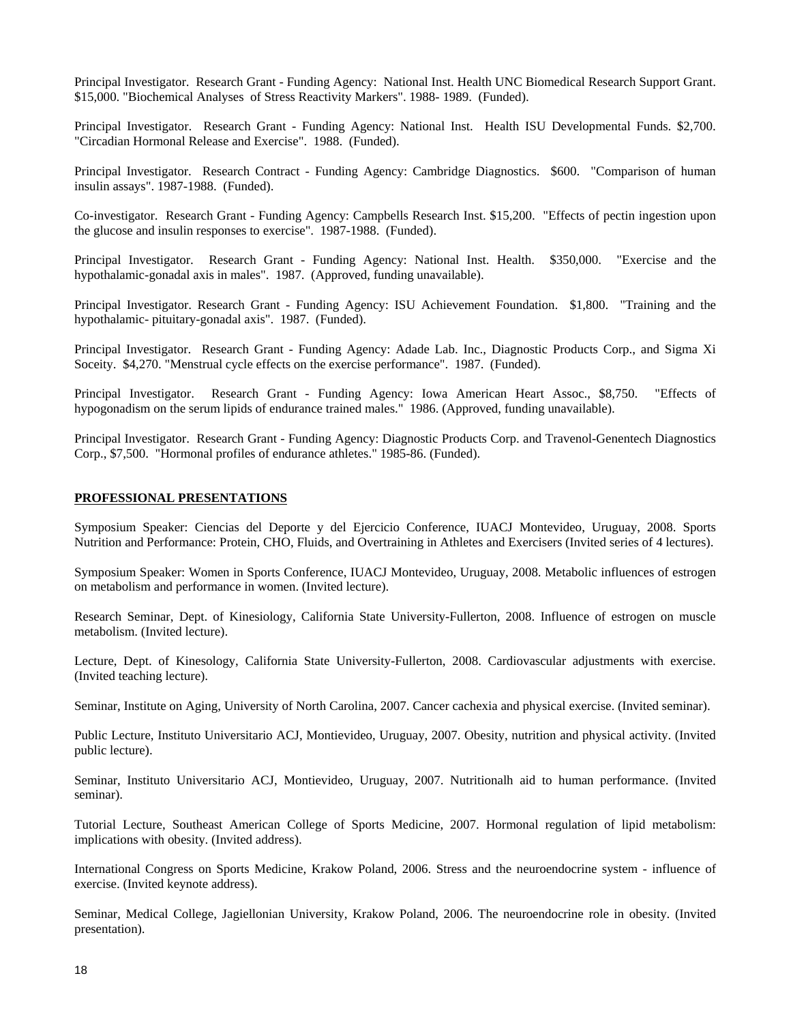Principal Investigator. Research Grant - Funding Agency: National Inst. Health UNC Biomedical Research Support Grant. \$15,000. "Biochemical Analyses of Stress Reactivity Markers". 1988- 1989. (Funded).

Principal Investigator. Research Grant - Funding Agency: National Inst. Health ISU Developmental Funds. \$2,700. "Circadian Hormonal Release and Exercise". 1988. (Funded).

Principal Investigator. Research Contract - Funding Agency: Cambridge Diagnostics. \$600. "Comparison of human insulin assays". 1987-1988. (Funded).

Co-investigator. Research Grant - Funding Agency: Campbells Research Inst. \$15,200. "Effects of pectin ingestion upon the glucose and insulin responses to exercise". 1987-1988. (Funded).

Principal Investigator. Research Grant - Funding Agency: National Inst. Health. \$350,000. "Exercise and the hypothalamic-gonadal axis in males". 1987. (Approved, funding unavailable).

Principal Investigator. Research Grant - Funding Agency: ISU Achievement Foundation. \$1,800. "Training and the hypothalamic- pituitary-gonadal axis". 1987. (Funded).

Principal Investigator. Research Grant - Funding Agency: Adade Lab. Inc., Diagnostic Products Corp., and Sigma Xi Soceity. \$4,270. "Menstrual cycle effects on the exercise performance". 1987. (Funded).

Principal Investigator. Research Grant - Funding Agency: Iowa American Heart Assoc., \$8,750. "Effects of hypogonadism on the serum lipids of endurance trained males." 1986. (Approved, funding unavailable).

Principal Investigator. Research Grant - Funding Agency: Diagnostic Products Corp. and Travenol-Genentech Diagnostics Corp., \$7,500. "Hormonal profiles of endurance athletes." 1985-86. (Funded).

## **PROFESSIONAL PRESENTATIONS**

Symposium Speaker: Ciencias del Deporte y del Ejercicio Conference, IUACJ Montevideo, Uruguay, 2008. Sports Nutrition and Performance: Protein, CHO, Fluids, and Overtraining in Athletes and Exercisers (Invited series of 4 lectures).

Symposium Speaker: Women in Sports Conference, IUACJ Montevideo, Uruguay, 2008. Metabolic influences of estrogen on metabolism and performance in women. (Invited lecture).

Research Seminar, Dept. of Kinesiology, California State University-Fullerton, 2008. Influence of estrogen on muscle metabolism. (Invited lecture).

Lecture, Dept. of Kinesology, California State University-Fullerton, 2008. Cardiovascular adjustments with exercise. (Invited teaching lecture).

Seminar, Institute on Aging, University of North Carolina, 2007. Cancer cachexia and physical exercise. (Invited seminar).

Public Lecture, Instituto Universitario ACJ, Montievideo, Uruguay, 2007. Obesity, nutrition and physical activity. (Invited public lecture).

Seminar, Instituto Universitario ACJ, Montievideo, Uruguay, 2007. Nutritionalh aid to human performance. (Invited seminar).

Tutorial Lecture, Southeast American College of Sports Medicine, 2007. Hormonal regulation of lipid metabolism: implications with obesity. (Invited address).

International Congress on Sports Medicine, Krakow Poland, 2006. Stress and the neuroendocrine system - influence of exercise. (Invited keynote address).

Seminar, Medical College, Jagiellonian University, Krakow Poland, 2006. The neuroendocrine role in obesity. (Invited presentation).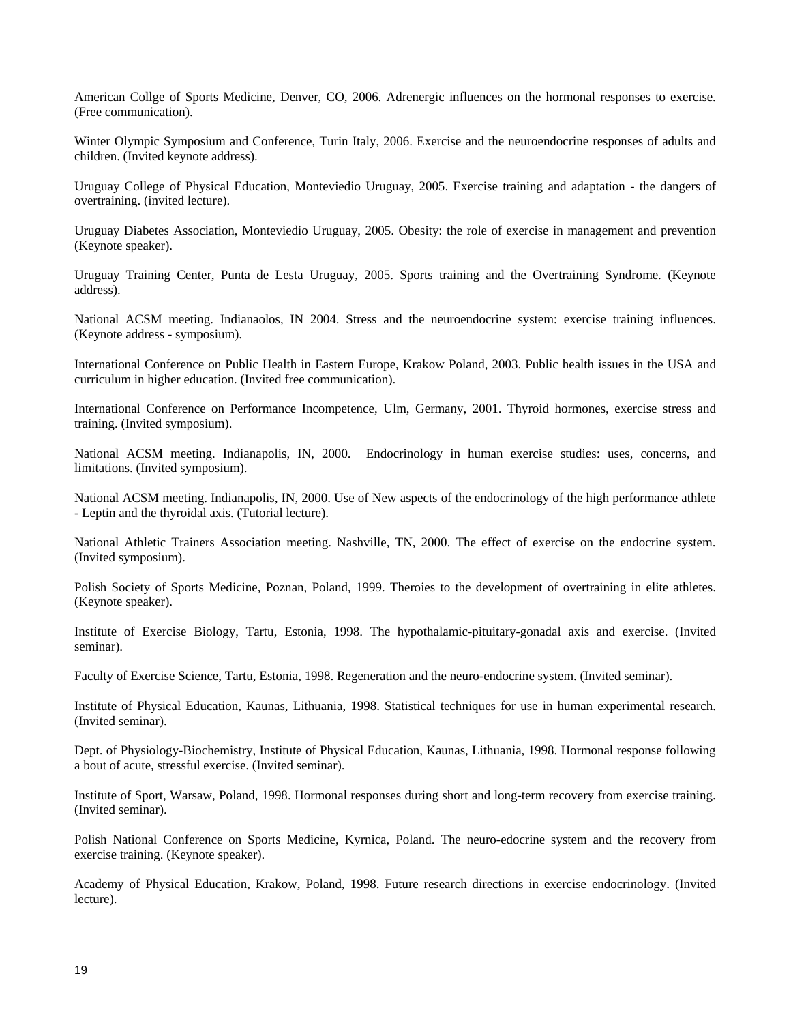American Collge of Sports Medicine, Denver, CO, 2006. Adrenergic influences on the hormonal responses to exercise. (Free communication).

Winter Olympic Symposium and Conference, Turin Italy, 2006. Exercise and the neuroendocrine responses of adults and children. (Invited keynote address).

Uruguay College of Physical Education, Monteviedio Uruguay, 2005. Exercise training and adaptation - the dangers of overtraining. (invited lecture).

Uruguay Diabetes Association, Monteviedio Uruguay, 2005. Obesity: the role of exercise in management and prevention (Keynote speaker).

Uruguay Training Center, Punta de Lesta Uruguay, 2005. Sports training and the Overtraining Syndrome. (Keynote address).

National ACSM meeting. Indianaolos, IN 2004. Stress and the neuroendocrine system: exercise training influences. (Keynote address - symposium).

International Conference on Public Health in Eastern Europe, Krakow Poland, 2003. Public health issues in the USA and curriculum in higher education. (Invited free communication).

International Conference on Performance Incompetence, Ulm, Germany, 2001. Thyroid hormones, exercise stress and training. (Invited symposium).

National ACSM meeting. Indianapolis, IN, 2000. Endocrinology in human exercise studies: uses, concerns, and limitations. (Invited symposium).

National ACSM meeting. Indianapolis, IN, 2000. Use of New aspects of the endocrinology of the high performance athlete - Leptin and the thyroidal axis. (Tutorial lecture).

National Athletic Trainers Association meeting. Nashville, TN, 2000. The effect of exercise on the endocrine system. (Invited symposium).

Polish Society of Sports Medicine, Poznan, Poland, 1999. Theroies to the development of overtraining in elite athletes. (Keynote speaker).

Institute of Exercise Biology, Tartu, Estonia, 1998. The hypothalamic-pituitary-gonadal axis and exercise. (Invited seminar).

Faculty of Exercise Science, Tartu, Estonia, 1998. Regeneration and the neuro-endocrine system. (Invited seminar).

Institute of Physical Education, Kaunas, Lithuania, 1998. Statistical techniques for use in human experimental research. (Invited seminar).

Dept. of Physiology-Biochemistry, Institute of Physical Education, Kaunas, Lithuania, 1998. Hormonal response following a bout of acute, stressful exercise. (Invited seminar).

Institute of Sport, Warsaw, Poland, 1998. Hormonal responses during short and long-term recovery from exercise training. (Invited seminar).

Polish National Conference on Sports Medicine, Kyrnica, Poland. The neuro-edocrine system and the recovery from exercise training. (Keynote speaker).

Academy of Physical Education, Krakow, Poland, 1998. Future research directions in exercise endocrinology. (Invited lecture).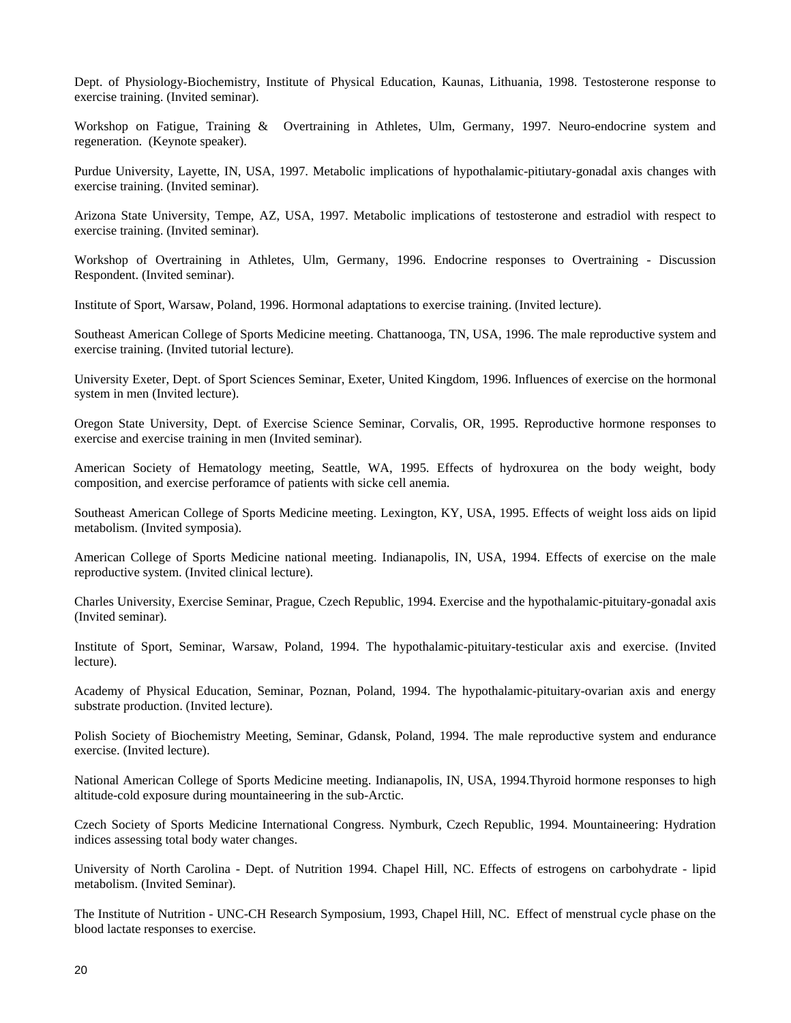Dept. of Physiology-Biochemistry, Institute of Physical Education, Kaunas, Lithuania, 1998. Testosterone response to exercise training. (Invited seminar).

Workshop on Fatigue, Training & Overtraining in Athletes, Ulm, Germany, 1997. Neuro-endocrine system and regeneration. (Keynote speaker).

Purdue University, Layette, IN, USA, 1997. Metabolic implications of hypothalamic-pitiutary-gonadal axis changes with exercise training. (Invited seminar).

Arizona State University, Tempe, AZ, USA, 1997. Metabolic implications of testosterone and estradiol with respect to exercise training. (Invited seminar).

Workshop of Overtraining in Athletes, Ulm, Germany, 1996. Endocrine responses to Overtraining - Discussion Respondent. (Invited seminar).

Institute of Sport, Warsaw, Poland, 1996. Hormonal adaptations to exercise training. (Invited lecture).

Southeast American College of Sports Medicine meeting. Chattanooga, TN, USA, 1996. The male reproductive system and exercise training. (Invited tutorial lecture).

University Exeter, Dept. of Sport Sciences Seminar, Exeter, United Kingdom, 1996. Influences of exercise on the hormonal system in men (Invited lecture).

Oregon State University, Dept. of Exercise Science Seminar, Corvalis, OR, 1995. Reproductive hormone responses to exercise and exercise training in men (Invited seminar).

American Society of Hematology meeting, Seattle, WA, 1995. Effects of hydroxurea on the body weight, body composition, and exercise perforamce of patients with sicke cell anemia.

Southeast American College of Sports Medicine meeting. Lexington, KY, USA, 1995. Effects of weight loss aids on lipid metabolism. (Invited symposia).

American College of Sports Medicine national meeting. Indianapolis, IN, USA, 1994. Effects of exercise on the male reproductive system. (Invited clinical lecture).

Charles University, Exercise Seminar, Prague, Czech Republic, 1994. Exercise and the hypothalamic-pituitary-gonadal axis (Invited seminar).

Institute of Sport, Seminar, Warsaw, Poland, 1994. The hypothalamic-pituitary-testicular axis and exercise. (Invited lecture).

Academy of Physical Education, Seminar, Poznan, Poland, 1994. The hypothalamic-pituitary-ovarian axis and energy substrate production. (Invited lecture).

Polish Society of Biochemistry Meeting, Seminar, Gdansk, Poland, 1994. The male reproductive system and endurance exercise. (Invited lecture).

National American College of Sports Medicine meeting. Indianapolis, IN, USA, 1994.Thyroid hormone responses to high altitude-cold exposure during mountaineering in the sub-Arctic.

Czech Society of Sports Medicine International Congress. Nymburk, Czech Republic, 1994. Mountaineering: Hydration indices assessing total body water changes.

University of North Carolina - Dept. of Nutrition 1994. Chapel Hill, NC. Effects of estrogens on carbohydrate - lipid metabolism. (Invited Seminar).

The Institute of Nutrition - UNC-CH Research Symposium, 1993, Chapel Hill, NC. Effect of menstrual cycle phase on the blood lactate responses to exercise.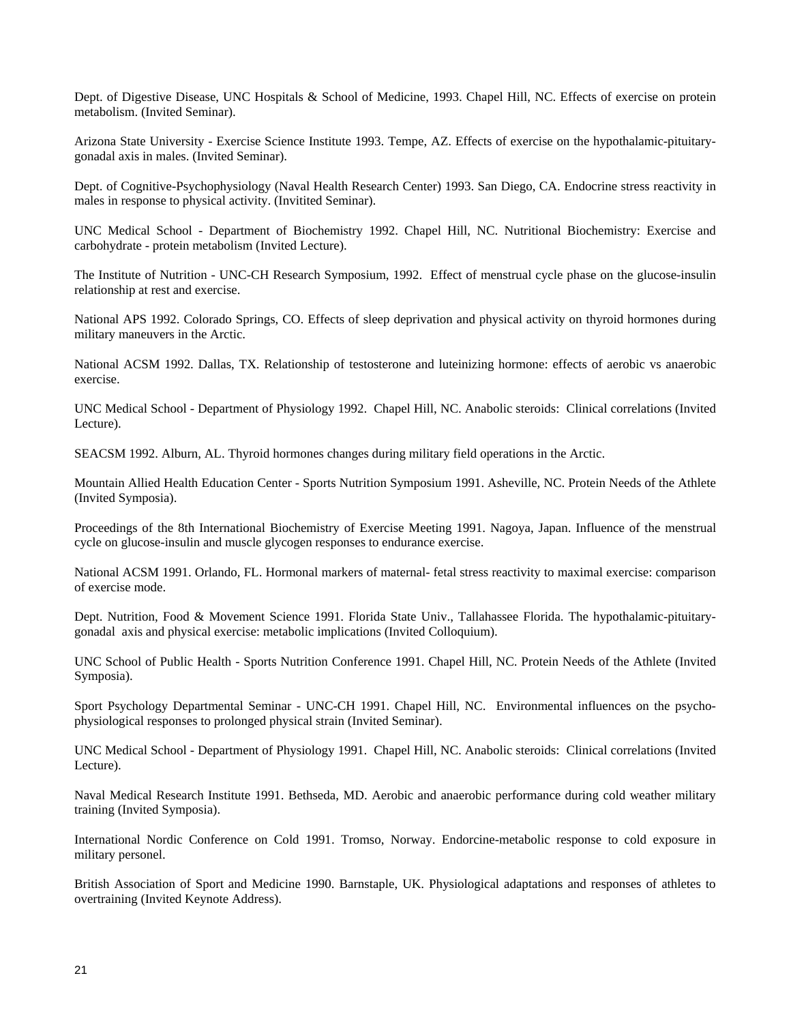Dept. of Digestive Disease, UNC Hospitals & School of Medicine, 1993. Chapel Hill, NC. Effects of exercise on protein metabolism. (Invited Seminar).

Arizona State University - Exercise Science Institute 1993. Tempe, AZ. Effects of exercise on the hypothalamic-pituitarygonadal axis in males. (Invited Seminar).

Dept. of Cognitive-Psychophysiology (Naval Health Research Center) 1993. San Diego, CA. Endocrine stress reactivity in males in response to physical activity. (Invitited Seminar).

UNC Medical School - Department of Biochemistry 1992. Chapel Hill, NC. Nutritional Biochemistry: Exercise and carbohydrate - protein metabolism (Invited Lecture).

The Institute of Nutrition - UNC-CH Research Symposium, 1992. Effect of menstrual cycle phase on the glucose-insulin relationship at rest and exercise.

National APS 1992. Colorado Springs, CO. Effects of sleep deprivation and physical activity on thyroid hormones during military maneuvers in the Arctic.

National ACSM 1992. Dallas, TX. Relationship of testosterone and luteinizing hormone: effects of aerobic vs anaerobic exercise.

UNC Medical School - Department of Physiology 1992. Chapel Hill, NC. Anabolic steroids: Clinical correlations (Invited Lecture).

SEACSM 1992. Alburn, AL. Thyroid hormones changes during military field operations in the Arctic.

Mountain Allied Health Education Center - Sports Nutrition Symposium 1991. Asheville, NC. Protein Needs of the Athlete (Invited Symposia).

Proceedings of the 8th International Biochemistry of Exercise Meeting 1991. Nagoya, Japan. Influence of the menstrual cycle on glucose-insulin and muscle glycogen responses to endurance exercise.

National ACSM 1991. Orlando, FL. Hormonal markers of maternal- fetal stress reactivity to maximal exercise: comparison of exercise mode.

Dept. Nutrition, Food & Movement Science 1991. Florida State Univ., Tallahassee Florida. The hypothalamic-pituitarygonadal axis and physical exercise: metabolic implications (Invited Colloquium).

UNC School of Public Health - Sports Nutrition Conference 1991. Chapel Hill, NC. Protein Needs of the Athlete (Invited Symposia).

Sport Psychology Departmental Seminar - UNC-CH 1991. Chapel Hill, NC. Environmental influences on the psychophysiological responses to prolonged physical strain (Invited Seminar).

UNC Medical School - Department of Physiology 1991. Chapel Hill, NC. Anabolic steroids: Clinical correlations (Invited Lecture).

Naval Medical Research Institute 1991. Bethseda, MD. Aerobic and anaerobic performance during cold weather military training (Invited Symposia).

International Nordic Conference on Cold 1991. Tromso, Norway. Endorcine-metabolic response to cold exposure in military personel.

British Association of Sport and Medicine 1990. Barnstaple, UK. Physiological adaptations and responses of athletes to overtraining (Invited Keynote Address).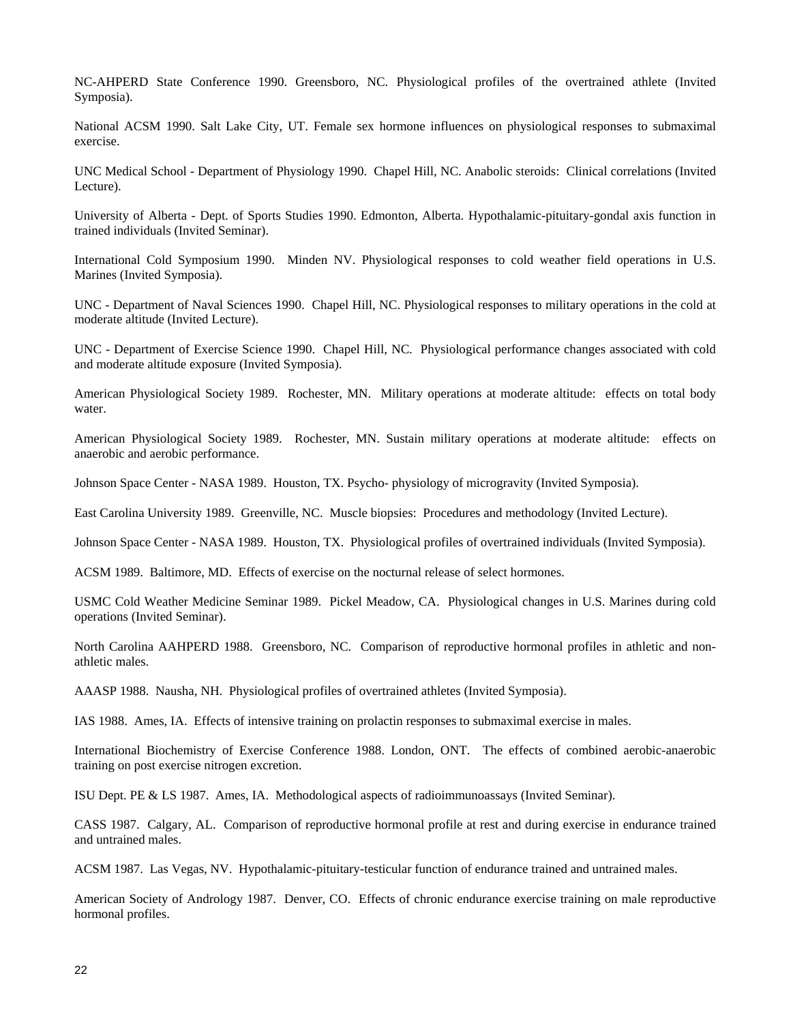NC-AHPERD State Conference 1990. Greensboro, NC. Physiological profiles of the overtrained athlete (Invited Symposia).

National ACSM 1990. Salt Lake City, UT. Female sex hormone influences on physiological responses to submaximal exercise.

UNC Medical School - Department of Physiology 1990. Chapel Hill, NC. Anabolic steroids: Clinical correlations (Invited Lecture).

University of Alberta - Dept. of Sports Studies 1990. Edmonton, Alberta. Hypothalamic-pituitary-gondal axis function in trained individuals (Invited Seminar).

International Cold Symposium 1990. Minden NV. Physiological responses to cold weather field operations in U.S. Marines (Invited Symposia).

UNC - Department of Naval Sciences 1990. Chapel Hill, NC. Physiological responses to military operations in the cold at moderate altitude (Invited Lecture).

UNC - Department of Exercise Science 1990. Chapel Hill, NC. Physiological performance changes associated with cold and moderate altitude exposure (Invited Symposia).

American Physiological Society 1989. Rochester, MN. Military operations at moderate altitude: effects on total body water.

American Physiological Society 1989. Rochester, MN. Sustain military operations at moderate altitude: effects on anaerobic and aerobic performance.

Johnson Space Center - NASA 1989. Houston, TX. Psycho- physiology of microgravity (Invited Symposia).

East Carolina University 1989. Greenville, NC. Muscle biopsies: Procedures and methodology (Invited Lecture).

Johnson Space Center - NASA 1989. Houston, TX. Physiological profiles of overtrained individuals (Invited Symposia).

ACSM 1989. Baltimore, MD. Effects of exercise on the nocturnal release of select hormones.

USMC Cold Weather Medicine Seminar 1989. Pickel Meadow, CA. Physiological changes in U.S. Marines during cold operations (Invited Seminar).

North Carolina AAHPERD 1988. Greensboro, NC. Comparison of reproductive hormonal profiles in athletic and nonathletic males.

AAASP 1988. Nausha, NH. Physiological profiles of overtrained athletes (Invited Symposia).

IAS 1988. Ames, IA. Effects of intensive training on prolactin responses to submaximal exercise in males.

International Biochemistry of Exercise Conference 1988. London, ONT. The effects of combined aerobic-anaerobic training on post exercise nitrogen excretion.

ISU Dept. PE & LS 1987. Ames, IA. Methodological aspects of radioimmunoassays (Invited Seminar).

CASS 1987. Calgary, AL. Comparison of reproductive hormonal profile at rest and during exercise in endurance trained and untrained males.

ACSM 1987. Las Vegas, NV. Hypothalamic-pituitary-testicular function of endurance trained and untrained males.

American Society of Andrology 1987. Denver, CO. Effects of chronic endurance exercise training on male reproductive hormonal profiles.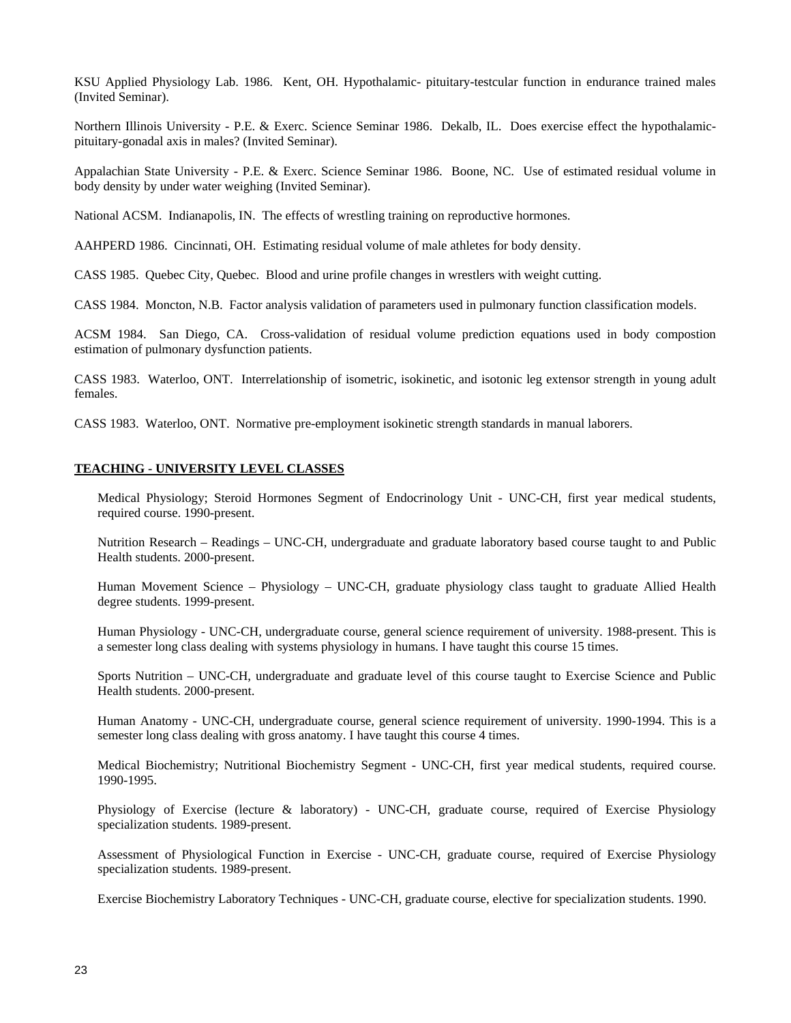KSU Applied Physiology Lab. 1986. Kent, OH. Hypothalamic- pituitary-testcular function in endurance trained males (Invited Seminar).

Northern Illinois University - P.E. & Exerc. Science Seminar 1986. Dekalb, IL. Does exercise effect the hypothalamicpituitary-gonadal axis in males? (Invited Seminar).

Appalachian State University - P.E. & Exerc. Science Seminar 1986. Boone, NC. Use of estimated residual volume in body density by under water weighing (Invited Seminar).

National ACSM. Indianapolis, IN. The effects of wrestling training on reproductive hormones.

AAHPERD 1986. Cincinnati, OH. Estimating residual volume of male athletes for body density.

CASS 1985. Quebec City, Quebec. Blood and urine profile changes in wrestlers with weight cutting.

CASS 1984. Moncton, N.B. Factor analysis validation of parameters used in pulmonary function classification models.

ACSM 1984. San Diego, CA. Cross-validation of residual volume prediction equations used in body compostion estimation of pulmonary dysfunction patients.

CASS 1983. Waterloo, ONT. Interrelationship of isometric, isokinetic, and isotonic leg extensor strength in young adult females.

CASS 1983. Waterloo, ONT. Normative pre-employment isokinetic strength standards in manual laborers.

### **TEACHING - UNIVERSITY LEVEL CLASSES**

Medical Physiology; Steroid Hormones Segment of Endocrinology Unit - UNC-CH, first year medical students, required course. 1990-present.

Nutrition Research – Readings – UNC-CH, undergraduate and graduate laboratory based course taught to and Public Health students. 2000-present.

Human Movement Science – Physiology – UNC-CH, graduate physiology class taught to graduate Allied Health degree students. 1999-present.

Human Physiology - UNC-CH, undergraduate course, general science requirement of university. 1988-present. This is a semester long class dealing with systems physiology in humans. I have taught this course 15 times.

Sports Nutrition – UNC-CH, undergraduate and graduate level of this course taught to Exercise Science and Public Health students. 2000-present.

Human Anatomy - UNC-CH, undergraduate course, general science requirement of university. 1990-1994. This is a semester long class dealing with gross anatomy. I have taught this course 4 times.

Medical Biochemistry; Nutritional Biochemistry Segment - UNC-CH, first year medical students, required course. 1990-1995.

Physiology of Exercise (lecture & laboratory) - UNC-CH, graduate course, required of Exercise Physiology specialization students. 1989-present.

Assessment of Physiological Function in Exercise - UNC-CH, graduate course, required of Exercise Physiology specialization students. 1989-present.

Exercise Biochemistry Laboratory Techniques - UNC-CH, graduate course, elective for specialization students. 1990.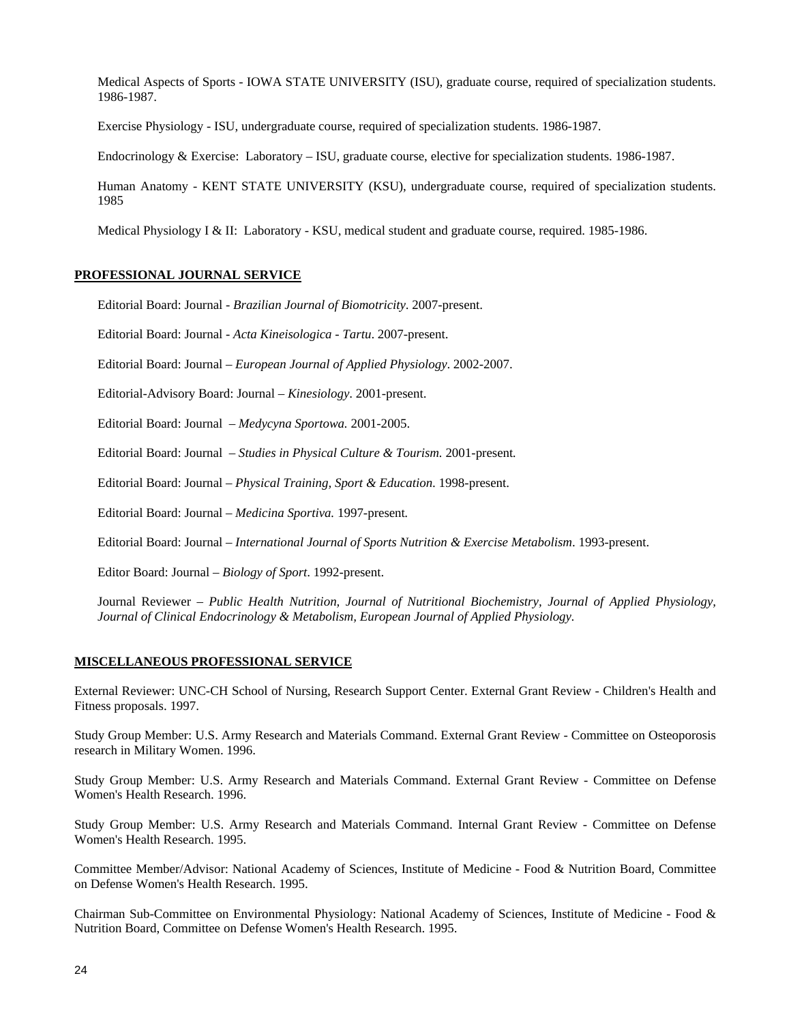Medical Aspects of Sports - IOWA STATE UNIVERSITY (ISU), graduate course, required of specialization students. 1986-1987.

Exercise Physiology - ISU, undergraduate course, required of specialization students. 1986-1987.

Endocrinology & Exercise: Laboratory – ISU, graduate course, elective for specialization students. 1986-1987.

Human Anatomy - KENT STATE UNIVERSITY (KSU), undergraduate course, required of specialization students. 1985

Medical Physiology I & II: Laboratory - KSU, medical student and graduate course, required. 1985-1986.

### **PROFESSIONAL JOURNAL SERVICE**

Editorial Board: Journal - *Brazilian Journal of Biomotricity*. 2007-present.

Editorial Board: Journal - *Acta Kineisologica - Tartu*. 2007-present.

Editorial Board: Journal – *European Journal of Applied Physiology*. 2002-2007.

Editorial-Advisory Board: Journal – *Kinesiology*. 2001-present.

Editorial Board: Journal – *Medycyna Sportowa.* 2001-2005.

Editorial Board: Journal – *Studies in Physical Culture & Tourism.* 2001-present*.*

Editorial Board: Journal – *Physical Training, Sport & Education*. 1998-present.

Editorial Board: Journal – *Medicina Sportiva.* 1997-present*.*

Editorial Board: Journal – *International Journal of Sports Nutrition & Exercise Metabolism*. 1993-present.

Editor Board: Journal – *Biology of Sport*. 1992-present.

Journal Reviewer *– Public Health Nutrition, Journal of Nutritional Biochemistry, Journal of Applied Physiology, Journal of Clinical Endocrinology & Metabolism, European Journal of Applied Physiology.*

## **MISCELLANEOUS PROFESSIONAL SERVICE**

External Reviewer: UNC-CH School of Nursing, Research Support Center. External Grant Review - Children's Health and Fitness proposals. 1997.

Study Group Member: U.S. Army Research and Materials Command. External Grant Review - Committee on Osteoporosis research in Military Women. 1996.

Study Group Member: U.S. Army Research and Materials Command. External Grant Review - Committee on Defense Women's Health Research. 1996.

Study Group Member: U.S. Army Research and Materials Command. Internal Grant Review - Committee on Defense Women's Health Research. 1995.

Committee Member/Advisor: National Academy of Sciences, Institute of Medicine - Food & Nutrition Board, Committee on Defense Women's Health Research. 1995.

Chairman Sub-Committee on Environmental Physiology: National Academy of Sciences, Institute of Medicine - Food & Nutrition Board, Committee on Defense Women's Health Research. 1995.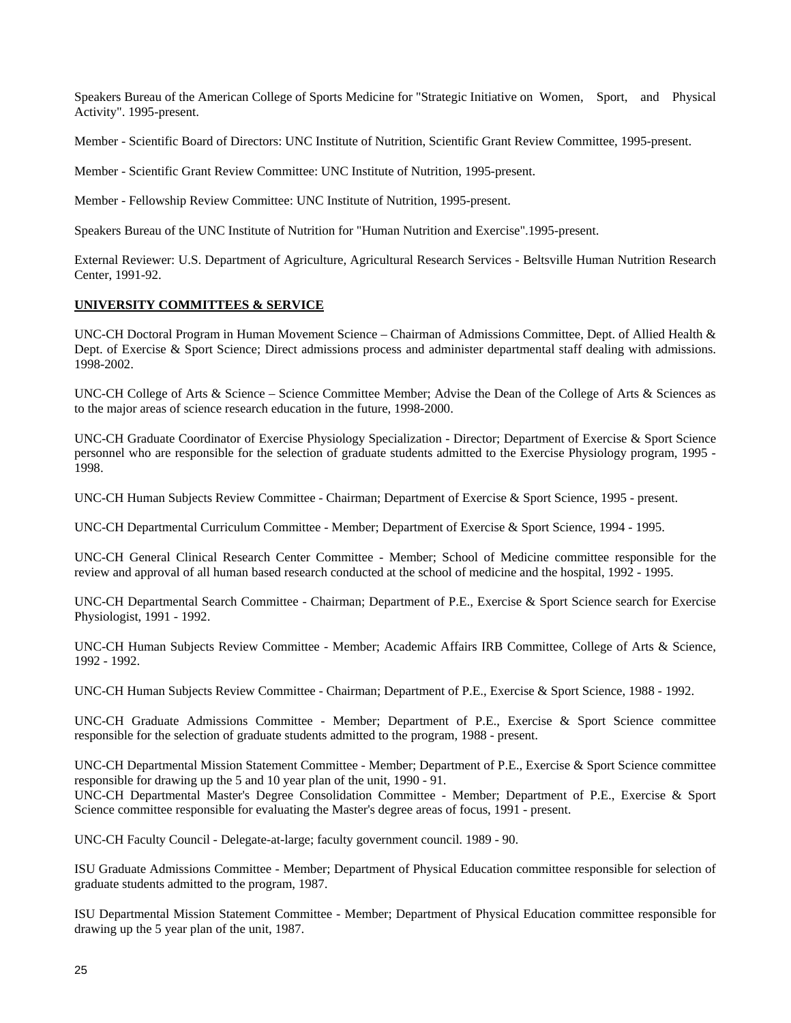Speakers Bureau of the American College of Sports Medicine for "Strategic Initiative on Women, Sport, and Physical Activity". 1995-present.

Member - Scientific Board of Directors: UNC Institute of Nutrition, Scientific Grant Review Committee, 1995-present.

Member - Scientific Grant Review Committee: UNC Institute of Nutrition, 1995-present.

Member - Fellowship Review Committee: UNC Institute of Nutrition, 1995-present.

Speakers Bureau of the UNC Institute of Nutrition for "Human Nutrition and Exercise".1995-present.

External Reviewer: U.S. Department of Agriculture, Agricultural Research Services - Beltsville Human Nutrition Research Center, 1991-92.

## **UNIVERSITY COMMITTEES & SERVICE**

UNC-CH Doctoral Program in Human Movement Science – Chairman of Admissions Committee, Dept. of Allied Health & Dept. of Exercise & Sport Science; Direct admissions process and administer departmental staff dealing with admissions. 1998-2002.

UNC-CH College of Arts & Science – Science Committee Member; Advise the Dean of the College of Arts & Sciences as to the major areas of science research education in the future, 1998-2000.

UNC-CH Graduate Coordinator of Exercise Physiology Specialization - Director; Department of Exercise & Sport Science personnel who are responsible for the selection of graduate students admitted to the Exercise Physiology program, 1995 - 1998.

UNC-CH Human Subjects Review Committee - Chairman; Department of Exercise & Sport Science, 1995 - present.

UNC-CH Departmental Curriculum Committee - Member; Department of Exercise & Sport Science, 1994 - 1995.

UNC-CH General Clinical Research Center Committee - Member; School of Medicine committee responsible for the review and approval of all human based research conducted at the school of medicine and the hospital, 1992 - 1995.

UNC-CH Departmental Search Committee - Chairman; Department of P.E., Exercise & Sport Science search for Exercise Physiologist, 1991 - 1992.

UNC-CH Human Subjects Review Committee - Member; Academic Affairs IRB Committee, College of Arts & Science, 1992 - 1992.

UNC-CH Human Subjects Review Committee - Chairman; Department of P.E., Exercise & Sport Science, 1988 - 1992.

UNC-CH Graduate Admissions Committee - Member; Department of P.E., Exercise & Sport Science committee responsible for the selection of graduate students admitted to the program, 1988 - present.

UNC-CH Departmental Mission Statement Committee - Member; Department of P.E., Exercise & Sport Science committee responsible for drawing up the 5 and 10 year plan of the unit, 1990 - 91. UNC-CH Departmental Master's Degree Consolidation Committee - Member; Department of P.E., Exercise & Sport Science committee responsible for evaluating the Master's degree areas of focus, 1991 - present.

UNC-CH Faculty Council - Delegate-at-large; faculty government council. 1989 - 90.

ISU Graduate Admissions Committee - Member; Department of Physical Education committee responsible for selection of graduate students admitted to the program, 1987.

ISU Departmental Mission Statement Committee - Member; Department of Physical Education committee responsible for drawing up the 5 year plan of the unit, 1987.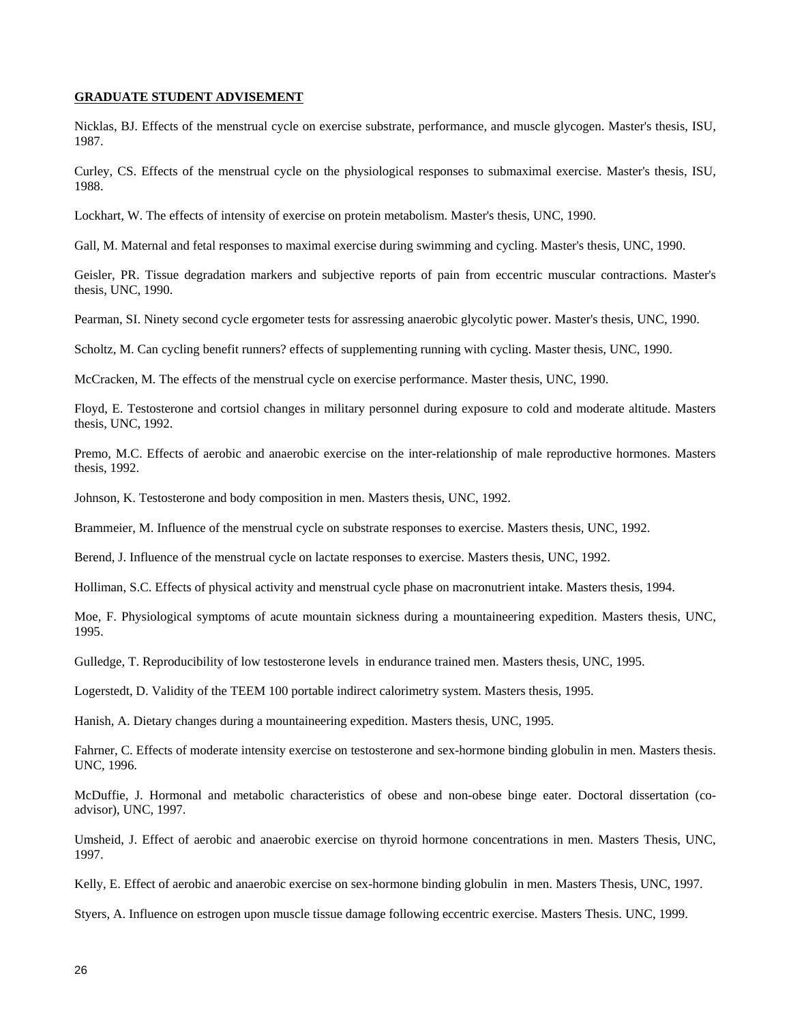#### **GRADUATE STUDENT ADVISEMENT**

Nicklas, BJ. Effects of the menstrual cycle on exercise substrate, performance, and muscle glycogen. Master's thesis, ISU, 1987.

Curley, CS. Effects of the menstrual cycle on the physiological responses to submaximal exercise. Master's thesis, ISU, 1988.

Lockhart, W. The effects of intensity of exercise on protein metabolism. Master's thesis, UNC, 1990.

Gall, M. Maternal and fetal responses to maximal exercise during swimming and cycling. Master's thesis, UNC, 1990.

Geisler, PR. Tissue degradation markers and subjective reports of pain from eccentric muscular contractions. Master's thesis, UNC, 1990.

Pearman, SI. Ninety second cycle ergometer tests for assressing anaerobic glycolytic power. Master's thesis, UNC, 1990.

Scholtz, M. Can cycling benefit runners? effects of supplementing running with cycling. Master thesis, UNC, 1990.

McCracken, M. The effects of the menstrual cycle on exercise performance. Master thesis, UNC, 1990.

Floyd, E. Testosterone and cortsiol changes in military personnel during exposure to cold and moderate altitude. Masters thesis, UNC, 1992.

Premo, M.C. Effects of aerobic and anaerobic exercise on the inter-relationship of male reproductive hormones. Masters thesis, 1992.

Johnson, K. Testosterone and body composition in men. Masters thesis, UNC, 1992.

Brammeier, M. Influence of the menstrual cycle on substrate responses to exercise. Masters thesis, UNC, 1992.

Berend, J. Influence of the menstrual cycle on lactate responses to exercise. Masters thesis, UNC, 1992.

Holliman, S.C. Effects of physical activity and menstrual cycle phase on macronutrient intake. Masters thesis, 1994.

Moe, F. Physiological symptoms of acute mountain sickness during a mountaineering expedition. Masters thesis, UNC, 1995.

Gulledge, T. Reproducibility of low testosterone levels in endurance trained men. Masters thesis, UNC, 1995.

Logerstedt, D. Validity of the TEEM 100 portable indirect calorimetry system. Masters thesis, 1995.

Hanish, A. Dietary changes during a mountaineering expedition. Masters thesis, UNC, 1995.

Fahrner, C. Effects of moderate intensity exercise on testosterone and sex-hormone binding globulin in men. Masters thesis. UNC, 1996.

McDuffie, J. Hormonal and metabolic characteristics of obese and non-obese binge eater. Doctoral dissertation (coadvisor), UNC, 1997.

Umsheid, J. Effect of aerobic and anaerobic exercise on thyroid hormone concentrations in men. Masters Thesis, UNC, 1997.

Kelly, E. Effect of aerobic and anaerobic exercise on sex-hormone binding globulin in men. Masters Thesis, UNC, 1997.

Styers, A. Influence on estrogen upon muscle tissue damage following eccentric exercise. Masters Thesis. UNC, 1999.